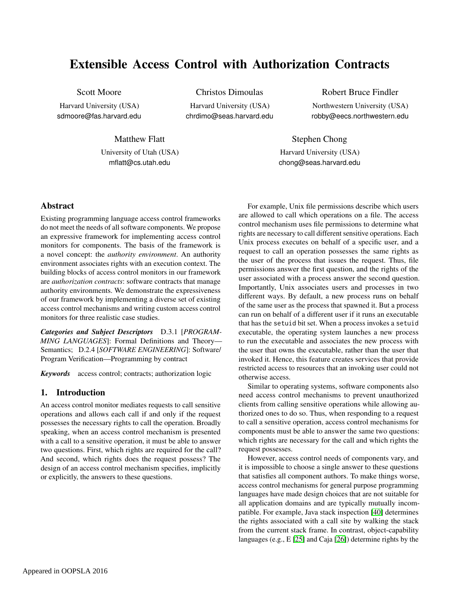# Extensible Access Control with Authorization Contracts

# Scott Moore

Harvard University (USA) sdmoore@fas.harvard.edu Christos Dimoulas

Harvard University (USA) chrdimo@seas.harvard.edu

Robert Bruce Findler Northwestern University (USA) robby@eecs.northwestern.edu

Matthew Flatt University of Utah (USA) mflatt@cs.utah.edu

Stephen Chong Harvard University (USA) chong@seas.harvard.edu

# Abstract

Existing programming language access control frameworks do not meet the needs of all software components. We propose an expressive framework for implementing access control monitors for components. The basis of the framework is a novel concept: the *authority environment*. An authority environment associates rights with an execution context. The building blocks of access control monitors in our framework are *authorization contracts*: software contracts that manage authority environments. We demonstrate the expressiveness of our framework by implementing a diverse set of existing access control mechanisms and writing custom access control monitors for three realistic case studies.

*Categories and Subject Descriptors* D.3.1 [*PROGRAM-MING LANGUAGES*]: Formal Definitions and Theory— Semantics; D.2.4 [*SOFTWARE ENGINEERING*]: Software/ Program Verification—Programming by contract

*Keywords* access control; contracts; authorization logic

# 1. Introduction

An access control monitor mediates requests to call sensitive operations and allows each call if and only if the request possesses the necessary rights to call the operation. Broadly speaking, when an access control mechanism is presented with a call to a sensitive operation, it must be able to answer two questions. First, which rights are required for the call? And second, which rights does the request possess? The design of an access control mechanism specifies, implicitly or explicitly, the answers to these questions.

For example, Unix file permissions describe which users are allowed to call which operations on a file. The access control mechanism uses file permissions to determine what rights are necessary to call different sensitive operations. Each Unix process executes on behalf of a specific user, and a request to call an operation possesses the same rights as the user of the process that issues the request. Thus, file permissions answer the first question, and the rights of the user associated with a process answer the second question. Importantly, Unix associates users and processes in two different ways. By default, a new process runs on behalf of the same user as the process that spawned it. But a process can run on behalf of a different user if it runs an executable that has the setuid bit set. When a process invokes a setuid executable, the operating system launches a new process to run the executable and associates the new process with the user that owns the executable, rather than the user that invoked it. Hence, this feature creates services that provide restricted access to resources that an invoking user could not otherwise access.

Similar to operating systems, software components also need access control mechanisms to prevent unauthorized clients from calling sensitive operations while allowing authorized ones to do so. Thus, when responding to a request to call a sensitive operation, access control mechanisms for components must be able to answer the same two questions: which rights are necessary for the call and which rights the request possesses.

However, access control needs of components vary, and it is impossible to choose a single answer to these questions that satisfies all component authors. To make things worse, access control mechanisms for general purpose programming languages have made design choices that are not suitable for all application domains and are typically mutually incompatible. For example, Java stack inspection [\[40\]](#page-15-0) determines the rights associated with a call site by walking the stack from the current stack frame. In contrast, object-capability languages (e.g., E [\[25\]](#page-15-1) and Caja [\[26\]](#page-15-2)) determine rights by the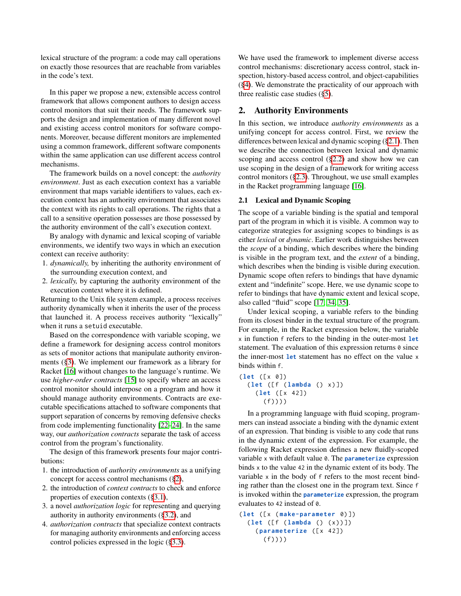lexical structure of the program: a code may call operations on exactly those resources that are reachable from variables in the code's text.

In this paper we propose a new, extensible access control framework that allows component authors to design access control monitors that suit their needs. The framework supports the design and implementation of many different novel and existing access control monitors for software components. Moreover, because different monitors are implemented using a common framework, different software components within the same application can use different access control mechanisms.

The framework builds on a novel concept: the *authority environment*. Just as each execution context has a variable environment that maps variable identifiers to values, each execution context has an authority environment that associates the context with its rights to call operations. The rights that a call to a sensitive operation possesses are those possessed by the authority environment of the call's execution context.

By analogy with dynamic and lexical scoping of variable environments, we identify two ways in which an execution context can receive authority:

- 1. *dynamically,* by inheriting the authority environment of the surrounding execution context, and
- 2. *lexically,* by capturing the authority environment of the execution context where it is defined.

Returning to the Unix file system example, a process receives authority dynamically when it inherits the user of the process that launched it. A process receives authority "lexically" when it runs a setuid executable.

Based on the correspondence with variable scoping, we define a framework for designing access control monitors as sets of monitor actions that manipulate authority environments ([§3\)](#page-3-0). We implement our framework as a library for Racket [\[16\]](#page-15-3) without changes to the language's runtime. We use *higher-order contracts* [\[15\]](#page-15-4) to specify where an access control monitor should interpose on a program and how it should manage authority environments. Contracts are executable specifications attached to software components that support separation of concerns by removing defensive checks from code implementing functionality [\[22](#page-15-5)[–24\]](#page-15-6). In the same way, our *authorization contracts* separate the task of access control from the program's functionality.

The design of this framework presents four major contributions:

- 1. the introduction of *authority environments* as a unifying concept for access control mechanisms ([§2\)](#page-1-0),
- 2. the introduction of *context contracts* to check and enforce properties of execution contexts ([§3.1\)](#page-3-1),
- 3. a novel *authorization logic* for representing and querying authority in authority environments ([§3.2\)](#page-7-0), and
- 4. *authorization contracts* that specialize context contracts for managing authority environments and enforcing access control policies expressed in the logic ([§3.3\)](#page-8-0).

We have used the framework to implement diverse access control mechanisms: discretionary access control, stack inspection, history-based access control, and object-capabilities ([§4\)](#page-9-0). We demonstrate the practicality of our approach with three realistic case studies ([§5\)](#page-11-0).

### <span id="page-1-0"></span>2. Authority Environments

In this section, we introduce *authority environments* as a unifying concept for access control. First, we review the differences between lexical and dynamic scoping ([§2.1\)](#page-1-1). Then we describe the connection between lexical and dynamic scoping and access control ([§2.2\)](#page-2-0) and show how we can use scoping in the design of a framework for writing access control monitors ([§2.3\)](#page-2-1). Throughout, we use small examples in the Racket programming language [\[16\]](#page-15-3).

### <span id="page-1-1"></span>2.1 Lexical and Dynamic Scoping

The scope of a variable binding is the spatial and temporal part of the program in which it is visible. A common way to categorize strategies for assigning scopes to bindings is as either *lexical* or *dynamic*. Earlier work distinguishes between the *scope* of a binding, which describes where the binding is visible in the program text, and the *extent* of a binding, which describes when the binding is visible during execution. Dynamic scope often refers to bindings that have dynamic extent and "indefinite" scope. Here, we use dynamic scope to refer to bindings that have dynamic extent and lexical scope, also called "fluid" scope [\[17,](#page-15-7) [34,](#page-15-8) [35\]](#page-15-9).

Under lexical scoping, a variable refers to the binding from its closest binder in the textual structure of the program. For example, in the Racket expression below, the variable x in function f refers to the binding in the outer-most **let** statement. The evaluation of this expression returns  $\theta$  since the inner-most **let** statement has no effect on the value x binds within f.

```
( let ([ x 0])
  ( let ([ f ( lambda () x ) ])
    ( let ([ x 42])
       (f)))
```
In a programming language with fluid scoping, programmers can instead associate a binding with the dynamic extent of an expression. That binding is visible to any code that runs in the dynamic extent of the expression. For example, the following Racket expression defines a new fluidly-scoped variable x with default value 0. The **parameterize** expression binds x to the value 42 in the dynamic extent of its body. The variable x in the body of f refers to the most recent binding rather than the closest one in the program text. Since f is invoked within the **parameterize** expression, the program evaluates to 42 instead of 0.

( **let** ([ x ( **make-parameter** 0) ]) ( **let** ([ f ( **lambda** () ( x ) ) ]) ( **parameterize** ([ x 42])  $(f))$ )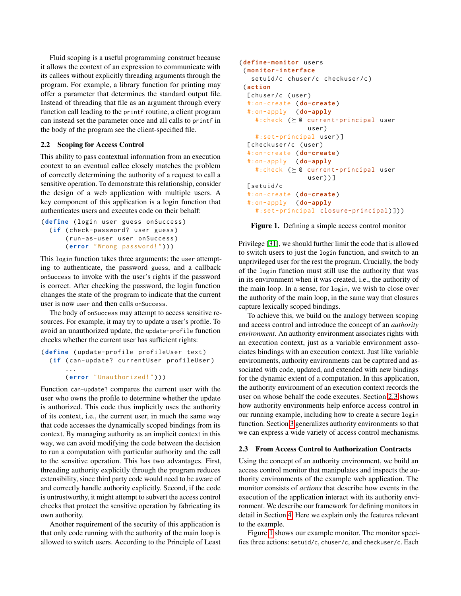Fluid scoping is a useful programming construct because it allows the context of an expression to communicate with its callees without explicitly threading arguments through the program. For example, a library function for printing may offer a parameter that determines the standard output file. Instead of threading that file as an argument through every function call leading to the printf routine, a client program can instead set the parameter once and all calls to printf in the body of the program see the client-specified file.

#### <span id="page-2-0"></span>2.2 Scoping for Access Control

This ability to pass contextual information from an execution context to an eventual callee closely matches the problem of correctly determining the authority of a request to call a sensitive operation. To demonstrate this relationship, consider the design of a web application with multiple users. A key component of this application is a login function that authenticates users and executes code on their behalf:

```
( define ( login user guess onSuccess )
  (if ( check-password? user guess )
      ( run-as-user user onSuccess )
      ( error " Wrong password! ") ) )
```
This login function takes three arguments: the user attempting to authenticate, the password guess, and a callback onSuccess to invoke with the user's rights if the password is correct. After checking the password, the login function changes the state of the program to indicate that the current user is now user and then calls onSuccess.

The body of onSuccess may attempt to access sensitive resources. For example, it may try to update a user's profile. To avoid an unauthorized update, the update-profile function checks whether the current user has sufficient rights:

```
( define ( update-profile profileUser text )
  (if ( can-update? currentUser profileUser )
      ...
```
# ( **error** " Unauthorized! ") ) )

Function can-update? compares the current user with the user who owns the profile to determine whether the update is authorized. This code thus implicitly uses the authority of its context, i.e., the current user, in much the same way that code accesses the dynamically scoped bindings from its context. By managing authority as an implicit context in this way, we can avoid modifying the code between the decision to run a computation with particular authority and the call to the sensitive operation. This has two advantages. First, threading authority explicitly through the program reduces extensibility, since third party code would need to be aware of and correctly handle authority explicitly. Second, if the code is untrustworthy, it might attempt to subvert the access control checks that protect the sensitive operation by fabricating its own authority.

Another requirement of the security of this application is that only code running with the authority of the main loop is allowed to switch users. According to the Principle of Least

```
( define-monitor users
 ( monitor-interface
   setuid/c chuser/c checkuser/c )
 ( action
  [ chuser/c (user)
  #:on-create ( do-create )
  #:on-apply ( do-apply
    #:check ( \succeq @ current-principal user
                  user )
    #:set-principal user ) ]
  [ checkuser/c (user)
  #:on-create ( do-create )
  #:on-apply ( do-apply
    #:check (\succeq @ current-principal user
                   user ) ) ]
  [ setuid/c
  #:on-create ( do-create )
  #:on-apply ( do-apply
    #:set-principal closure-principal ) ]) )
```
<span id="page-2-2"></span>Figure 1. Defining a simple access control monitor

Privilege [\[31\]](#page-15-10), we should further limit the code that is allowed to switch users to just the login function, and switch to an unprivileged user for the rest the program. Crucially, the body of the login function must still use the authority that was in its environment when it was created, i.e., the authority of the main loop. In a sense, for login, we wish to close over the authority of the main loop, in the same way that closures capture lexically scoped bindings.

To achieve this, we build on the analogy between scoping and access control and introduce the concept of an *authority environment*. An authority environment associates rights with an execution context, just as a variable environment associates bindings with an execution context. Just like variable environments, authority environments can be captured and associated with code, updated, and extended with new bindings for the dynamic extent of a computation. In this application, the authority environment of an execution context records the user on whose behalf the code executes. Section [2.3](#page-2-1) shows how authority environments help enforce access control in our running example, including how to create a secure login function. Section [3](#page-3-0) generalizes authority environments so that we can express a wide variety of access control mechanisms.

#### <span id="page-2-1"></span>2.3 From Access Control to Authorization Contracts

Using the concept of an authority environment, we build an access control monitor that manipulates and inspects the authority environments of the example web application. The monitor consists of *actions* that describe how events in the execution of the application interact with its authority environment. We describe our framework for defining monitors in detail in Section [4.](#page-9-0) Here we explain only the features relevant to the example.

Figure [1](#page-2-2) shows our example monitor. The monitor specifies three actions: setuid/c, chuser/c, and checkuser/c. Each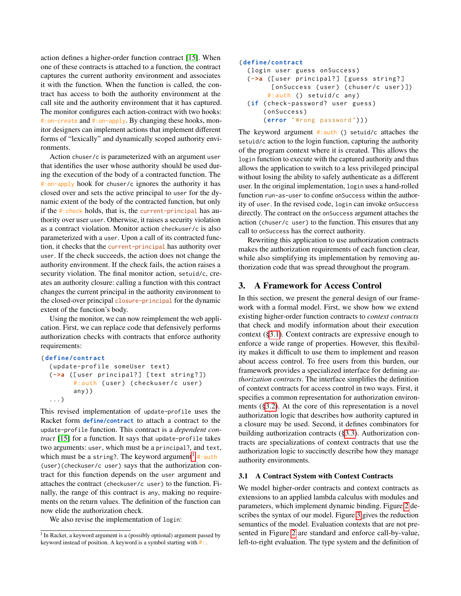action defines a higher-order function contract [\[15\]](#page-15-4). When one of these contracts is attached to a function, the contract captures the current authority environment and associates it with the function. When the function is called, the contract has access to both the authority environment at the call site and the authority environment that it has captured. The monitor configures each action-contract with two hooks: #:on-create and #:on-apply. By changing these hooks, monitor designers can implement actions that implement different forms of "lexically" and dynamically scoped authority environments.

Action chuser/c is parameterized with an argument user that identifies the user whose authority should be used during the execution of the body of a contracted function. The #:on-apply hook for chuser/c ignores the authority it has closed over and sets the active principal to user for the dynamic extent of the body of the contracted function, but only if the #:check holds, that is, the current-principal has authority over user user. Otherwise, it raises a security violation as a contract violation. Monitor action checkuser/c is also parameterized with a user. Upon a call of its contracted function, it checks that the current-principal has authority over user. If the check succeeds, the action does not change the authority environment. If the check fails, the action raises a security violation. The final monitor action, setuid/c, creates an authority closure: calling a function with this contract changes the current principal in the authority environment to the closed-over principal closure-principal for the dynamic extent of the function's body.

Using the monitor, we can now reimplement the web application. First, we can replace code that defensively performs authorization checks with contracts that enforce authority requirements:

```
( define/contract
```

```
( update-profile someUser text )
(->a ([ user principal? ] [ text string? ])
      #:auth (user) (checkuser/c user)
      any ) )
...)
```
This revised implementation of update-profile uses the Racket form **define/contract** to attach a contract to the update-profile function. This contract is a *dependent contract* [\[15\]](#page-15-4) for a function. It says that update-profile takes two arguments: user, which must be a principal?, and text, which must be a string?. The keyword argument $^1$  $^1$  #:auth (user)(checkuser/c user) says that the authorization contract for this function depends on the user argument and attaches the contract (checkuser/c user) to the function. Finally, the range of this contract is any, making no requirements on the return values. The definition of the function can now elide the authorization check.

We also revise the implementation of login:

#### ( **define/contract** ( login user guess onSuccess ) ( **->a** ([ user principal? ] [ guess string? ] [onSuccess (user) (chuser/c user)]) #:auth () setuid/c any )

```
(if ( check-password? user guess )
    ( onSuccess )
    ( error " Wrong password ") ) )
```
The keyword argument #:auth () setuid/c attaches the setuid/c action to the login function, capturing the authority of the program context where it is created. This allows the login function to execute with the captured authority and thus allows the application to switch to a less privileged principal without losing the ability to safely authenticate as a different user. In the original implementation, login uses a hand-rolled function run-as-user to confine onSuccess within the authority of user. In the revised code, login can invoke onSuccess directly. The contract on the onSuccess argument attaches the action (chuser/c user) to the function. This ensures that any call to onSuccess has the correct authority.

Rewriting this application to use authorization contracts makes the authorization requirements of each function clear, while also simplifying its implementation by removing authorization code that was spread throughout the program.

# <span id="page-3-0"></span>3. A Framework for Access Control

In this section, we present the general design of our framework with a formal model. First, we show how we extend existing higher-order function contracts to *context contracts* that check and modify information about their execution context ([§3.1\)](#page-3-1). Context contracts are expressive enough to enforce a wide range of properties. However, this flexibility makes it difficult to use them to implement and reason about access control. To free users from this burden, our framework provides a specialized interface for defining *authorization contracts*. The interface simplifies the definition of context contracts for access control in two ways. First, it specifies a common representation for authorization environments ([§3.2\)](#page-7-0). At the core of this representation is a novel authorization logic that describes how authority captured in a closure may be used. Second, it defines combinators for building authorization contracts ([§3.3\)](#page-8-0). Authorization contracts are specializations of context contracts that use the authorization logic to succinctly describe how they manage authority environments.

# <span id="page-3-1"></span>3.1 A Contract System with Context Contracts

We model higher-order contracts and context contracts as extensions to an applied lambda calculus with modules and parameters, which implement dynamic binding. Figure [2](#page-4-0) describes the syntax of our model. Figure [3](#page-5-0) gives the reduction semantics of the model. Evaluation contexts that are not presented in Figure [2](#page-4-0) are standard and enforce call-by-value, left-to-right evaluation. The type system and the definition of

<span id="page-3-2"></span><sup>&</sup>lt;sup>1</sup> In Racket, a keyword argument is a (possibly optional) argument passed by keyword instead of position. A keyword is a symbol starting with #:.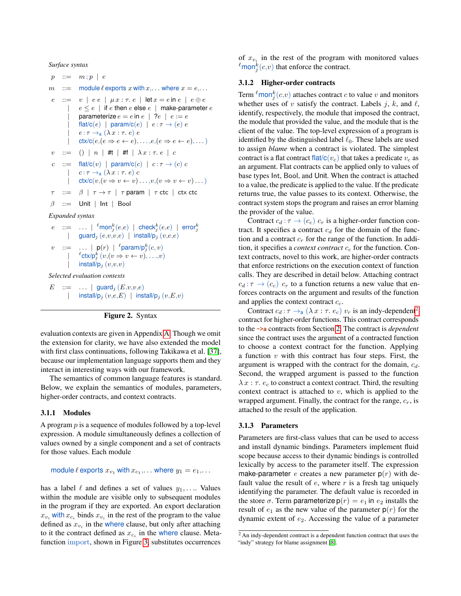*Surface syntax*

```
p \ ::= m; p \ | \ em : = module \ell exports x with x, \ldots where x = e, \ldotse ::= v | ee | \mu x : \tau.e | \text{let } x = e \text{ in } e | e \oplus ee \le e | if e then e else e | make-parameter eparameterize e = e in e | ?e | e := e\text{flat/c}(e) | param/c(e) | e : \tau \to (e) e
              e : \tau \rightarrow_a (\lambda x : \tau. e) e\text{ctx/}c(e, (e \Rightarrow e \leftarrow e), \dots, e, (e \Rightarrow e \leftarrow e), \dots)v := () | n | #t | #f | \lambda x : \tau e | cc ::= flat/c(v) | param/c(c) | c : \tau \to (c) c
              c : \tau \rightarrow_a (\lambda x : \tau. e) c\text{ctx/c}(v,(v \Rightarrow v \leftarrow v) \dots, v,(v \Rightarrow v \leftarrow v) \dots)\tau ::= \beta | \tau \rightarrow \tau | \tau param | \tau ctc | ctx ctc
 \beta ::= Unit | Int | Bool
Expanded syntax
 e ::= ... | {}^{\ell}mon{}_{j}^{k}(e,e) | check{}_{j}^{k}(e,e) | error{}_{j}^{k}<br>| guard{}_{j}(e,v,v,e) | install/p{}_{j}(v,e,e)v ::= ... | p(r) | ^{\ell}param/p^k_j(c, v)| \ellctx/p_j^k (v, (v \Rightarrow v \leftarrow v), ..., v)| install/p_j(v,v,v)Selected evaluation contexts
E ::= ... | guard<sub>i</sub> (E, v, v, e)| install/p_i (v,e,E) | install/p_i (v,E,v)
```
#### <span id="page-4-0"></span>Figure 2. Syntax

evaluation contexts are given in Appendix [A.](#page-16-0) Though we omit the extension for clarity, we have also extended the model with first class continuations, following Takikawa et al. [\[37\]](#page-15-11), because our implementation language supports them and they interact in interesting ways with our framework.

The semantics of common language features is standard. Below, we explain the semantics of modules, parameters, higher-order contracts, and context contracts.

#### 3.1.1 Modules

A program p is a sequence of modules followed by a top-level expression. A module simultaneously defines a collection of values owned by a single component and a set of contracts for those values. Each module

module 
$$
\ell
$$
 exports  $x_{v_1}$  with  $x_{c_1}, \ldots$  where  $y_1 = e_1, \ldots$ 

has a label  $\ell$  and defines a set of values  $y_1, \ldots$  Values within the module are visible only to subsequent modules in the program if they are exported. An export declaration  $x_{v_i}$  with  $x_{c_i}$  binds  $x_{v_i}$  in the rest of the program to the value defined as  $x_{v_i}$  in the where clause, but only after attaching to it the contract defined as  $x_{c_i}$  in the where clause. Metafunction import, shown in Figure [3,](#page-5-0) substitutes occurrences

of  $x_{v_i}$  in the rest of the program with monitored values  $\ell$ mon $_j^k(c,v)$  that enforce the contract.

#### 3.1.2 Higher-order contracts

Term  $\ell$ mon $_j^k(c, v)$  attaches contract c to value v and monitors whether uses of v satisfy the contract. Labels j, k, and  $\ell$ , identify, respectively, the module that imposed the contract, the module that provided the value, and the module that is the client of the value. The top-level expression of a program is identified by the distinguished label  $\ell_0$ . These labels are used to assign *blame* when a contract is violated. The simplest contract is a flat contract flat/ $c(v_c)$  that takes a predicate  $v_c$  as an argument. Flat contracts can be applied only to values of base types Int, Bool, and Unit. When the contract is attached to a value, the predicate is applied to the value. If the predicate returns true, the value passes to its context. Otherwise, the contract system stops the program and raises an error blaming the provider of the value.

Contract  $c_d : \tau \to (c_c)$   $c_r$  is a higher-order function contract. It specifies a contract  $c_d$  for the domain of the function and a contract  $c_r$  for the range of the function. In addition, it specifies a *context contract*  $c_c$  for the function. Context contracts, novel to this work, are higher-order contracts that enforce restrictions on the execution context of function calls. They are described in detail below. Attaching contract  $c_d : \tau \to (c_c)$   $c_r$  to a function returns a new value that enforces contracts on the argument and results of the function and applies the context contract  $c_c$ .

Contract  $c_d : \tau \rightarrow_a (\lambda x : \tau, e_c)$   $v_r$  is an indy-dependent<sup>[2](#page-4-1)</sup> contract for higher-order functions. This contract corresponds to the **->a** contracts from Section [2.](#page-1-0) The contract is *dependent* since the contract uses the argument of a contracted function to choose a context contract for the function. Applying a function  $v$  with this contract has four steps. First, the argument is wrapped with the contract for the domain,  $c_d$ . Second, the wrapped argument is passed to the function  $\lambda x : \tau$ .  $e_c$  to construct a context contract. Third, the resulting context contract is attached to  $v$ , which is applied to the wrapped argument. Finally, the contract for the range,  $c_r$ , is attached to the result of the application.

#### 3.1.3 Parameters

Parameters are first-class values that can be used to access and install dynamic bindings. Parameters implement fluid scope because access to their dynamic bindings is controlled lexically by access to the parameter itself. The expression make-parameter e creates a new parameter  $p(r)$  with default value the result of  $e$ , where  $r$  is a fresh tag uniquely identifying the parameter. The default value is recorded in the store  $\sigma$ . Term parameterize  $p(r) = e_1$  in  $e_2$  installs the result of  $e_1$  as the new value of the parameter  $p(r)$  for the dynamic extent of  $e_2$ . Accessing the value of a parameter

<span id="page-4-1"></span> $2$ An indy-dependent contract is a dependent function contract that uses the "indy" strategy for blame assignment [\[8\]](#page-15-12).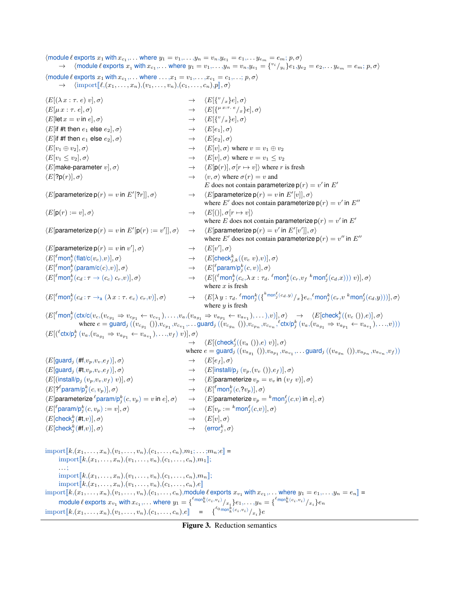$\langle$  module  $\ell$  exports  $x_1$  with  $x_{c_1},\ldots$  where  $y_1 = v_1,\ldots,y_n = v_n, y_{e_1} = e_1,\ldots,y_{e_m} = e_m; p, \sigma \rangle$  $\rightarrow$  (module  $\ell$  exports  $x_1$  with  $x_{c_1},\ldots$  where  $y_1 = v_1,\ldots,y_n = v_n, y_{e_1} = \{v_i / y_i\}e_1, y_{e_2} = e_2,\ldots y_{e_m} = e_m; p, \sigma \}$  $\langle \text{module } \ell \text{ exports } x_1 \text{ with } x_{c_1}, \ldots \text{ where } \ldots, x_1 = v_1, \ldots, x_{c_1} = c_1, \ldots; p, \sigma \rangle$  $\rightarrow \langle \text{import}[\ell,(x_1,\ldots,x_n),(v_1,\ldots,v_n),(c_1,\ldots,c_n),p],\sigma\rangle$  $\langle E[(\lambda x : \tau. e) v], \sigma \rangle \longrightarrow$  $v_{x}\}\e, \sigma$  $\langle E[\mu x : \tau, e], \sigma \rangle \longrightarrow$  $\langle E[\{^{\mu x:\tau.\ e}/_x\}e],\sigma\rangle$  $\langle E[\text{let } x = v \text{ in } e], \sigma \rangle \rightarrow$  $v_{x}\}\e, \sigma$  $\langle E$ [if #t then  $e_1$  else  $e_2$ ],  $\sigma$   $\rightarrow$   $\langle E[e_1], \sigma \rangle$  $\langle E$ [if #f then  $e_1$  else  $e_2$ ],  $\sigma \rangle \longrightarrow \langle E[e_2], \sigma \rangle$  $\langle E[v_1 \oplus v_2], \sigma \rangle$   $\rightarrow$   $\langle E[v], \sigma \rangle$  where  $v = v_1 \oplus v_2$  $\langle E[v_1 \le v_2], \sigma \rangle$   $\rightarrow$   $\langle E[v], \sigma \rangle$  where  $v = v_1 \le v_2$  $\langle E[\text{make-parameter } v], \sigma \rangle$   $\rightarrow$   $\langle E[\text{p}(r)], \sigma[r \mapsto v] \rangle$  where r is fresh  $\langle E[?p(r)], \sigma \rangle \rightarrow \langle v, \sigma \rangle$  where  $\sigma(r) = v$  and E does not contain parameterize  $p(r) = v'$  in E'  $\langle E$ [parameterize p $(r) = v$  in  $E'$  $[?r]], \sigma\rangle \longrightarrow \langle E[\text{parameterize }p(r) = v \text{ in } E'[v]], \sigma\rangle$ where E' does not contain parameterize  $p(r) = v'$  in  $E''$  $\langle E[\mathsf{p}(r) := v], \sigma \rangle \longrightarrow \langle E[(\mathsf{p}], \sigma[r \mapsto v]\rangle$ where E does not contain parameterize  $p(r) = v'$  in E'  $\langle E$ [parameterize p $(r) = v$  in  $E'$  [p $(r) := v'$  $|], \sigma\rangle \rightarrow \langle E[\text{parameterize }p(r) = v' \text{ in } E'[v']], \sigma\rangle$ where E' does not contain parameterize  $p(r) = v''$  in E''  $\langle E$ [parameterize p $(r) = v$  in  $v'$  $\vert, \sigma \rangle \qquad \longrightarrow \qquad \langle E[v^\prime], \sigma \rangle$  $\langle E[^\ell \textsf{mon}^k_j(\textsf{flat}/\textsf{c}(v_c), v)], \sigma \rangle \longrightarrow \langle E[\textsf{check}^k_j]$  $\rightarrow \langle E[\text{check}_{ik}^k((v_c v),v)],\sigma\rangle$  $\langle E[^\ell \textsf{mon}^k_j(\textsf{param}/\textsf{c}(c),v)],\sigma\rangle \longrightarrow \langle E[$  $^{\ell}$ param/p $_{j}^{k}(c,v)],\sigma\rangle$  $\langle E[^\ell \mathsf{mon}^k_j(c_d: \tau \to (c_c)\; c_r,v)], \sigma \rangle \qquad \qquad \to \quad \langle E[({^\ell \mathsf{mon}^k_j})] \rangle$  $\frac{k}{j}(c_c, \lambda \, x : \tau_d$ .  ${}^{\ell}$ mon $^k_j(c_r, v_f \sqrt{k}$ mon $^{\ell}_j(c_d, x))) \ v)], \sigma \rangle$ where  $x$  is fresh  $\langle E[{}^{\ell}$ mon ${}_{j}^{k}(c_{d} : \tau \rightarrow_{a} (\lambda x : \tau. e_{c}) c_{r}, v)], \sigma \rangle \longrightarrow \langle E[\lambda y : \tau_{d}].$  $\ell$ mon $_j^k(\{^{k}$ <sup>mon $_j^\ell$ (c $_{d},y) / _{x}\}e_c$ , $\ell$ mon $_j^k(c_r,v$   $^k$ mon $_j^\ell(c_{d},y)))],\sigma \rangle$ </sup> where  $y$  is fresh  $\langle E[{}^\ell{\sf mon}^k_j({\sf ctx/c}(v_{c},(v_{c_{g_1}}\Rightarrow v_{c_{p_1}}\leftarrow v_{c_{v_1}}),\dots,v_a,(v_{a_{g_1}}\Rightarrow v_{a_{p_1}}\leftarrow v_{a_{v_1}}),\dots),v)],\sigma\rangle\quad\rightarrow\quad\langle E[{\sf check}^k_j((v_c\;(),e)],\sigma\rangle$  $\text{where } e = \overline{\text{guard}}_j((v_{c_{g_1}}()), v_{c_{p_1}}, v_{c_{v_1}}, \dots \overline{\text{guard}}_j((v_{c_{g_n}}()), v_{c_{p_n}}, v_{c_{v_n}}, {^{\ell}\text{ctx/p}_j^k}(v_a, (v_{a_{g_1}} \Rightarrow v_{a_{p_1}} \leftarrow v_{a_{v_1}}), \dots, v)))$  $\langle E[({}^{\ell} \text{ctx}/ \text{p}_j^k \ (v_a, (v_{a_{g_1}} \Rightarrow v_{a_{p_1}} \leftarrow v_{a_{v_1}}), \ldots, v_f) \ v)], \sigma \rangle$  $\rightarrow \quad \langle E[({\sf check}^{\ell}_j((v_a~))), ee) )], \sigma \rangle$ where  $e = \text{guard}_j ((v_{a_{g_1}}()), v_{a_{p_1}}, v_{a_{v_1}}, \dots \text{guard}_j ((v_{a_{g_n}}()), v_{a_{p_n}}, v_{a_{v_n}}, v_f))$  $\langle E[\text{guard}_i (\#f, v_p, v_v, e_f)], \sigma \rangle \rightarrow \langle E[e_f], \sigma \rangle$  $\langle E[\text{guard}_i (\#t, v_p, v_v, e_f)], \sigma \rangle$   $\rightarrow$   $\langle E[\text{install}/p_i (v_p, (v_v ()), e_f)], \sigma \rangle$  $\langle E[(\text{install/p}_i(v_p,v_v,v_f) v)], \sigma \rangle$   $\rightarrow$   $\langle E[\text{parameterize } v_p = v_v \text{ in } (v_f v)], \sigma \rangle$  $\langle E[?^{\ell}$ param/p $_j^k(c, v_p)], \sigma \rangle \longrightarrow \langle E[$  $^{\ell}$ mon $_j^k(c,?v_p)],\sigma\rangle$  $\langle E$ [parameterize  $\ell$ param/p $_i^k$  $j_s^k(c,v_p) = v$  in  $e], \sigma\rangle \quad \rightarrow \quad \langle E[\textsf{parameterize}\, v_p = {}^k \textsf{mon}^\ell_j(c,v)$  in  $e], \sigma\rangle$  $\langle E| \ell$ param/p $_i^k$  $j_s^k(c, v_p) := v, \sigma \rangle \qquad \qquad \rightarrow \quad \langle E[v_p := {^k{\mathsf{mon}}_j^{\ell}}(c,v)], \sigma \rangle$  $\langle E[\mathsf{check}_i^k(\# \mathsf{t}, v)], \sigma \rangle$  $\rightarrow \langle E[v], \sigma \rangle$  $\langle E[\mathsf{check}_j^k(\# \mathsf{f}, v)], \sigma \rangle \longrightarrow \langle \mathsf{error}_j^k \rangle$  $_{j}^{k},\sigma\rangle$  $\text{import} [k, (x_1, \ldots, x_n), (v_1, \ldots, v_n), (c_1, \ldots, c_n), m_1; \ldots; m_n; e] =$  $\text{import} [k,(x_1,\ldots,x_n),(v_1,\ldots,v_n),(c_1,\ldots,c_n),m_1]$ ; . . . ;  $\text{import} [k,(x_1,\ldots,x_n),(v_1,\ldots,v_n),(c_1,\ldots,c_n),m_n];$ import $[[k,(x_1, \ldots,x_n),(v_1,\ldots,v_n),(c_1,\ldots,c_n),e]]$  $\text{import}[\![k, (x_1, \ldots, x_n), (v_1, \ldots, v_n), (c_1, \ldots, c_n), \text{module } \ell \text{ exports } x_{v_1} \text{ with } x_{c_1}, \ldots \text{ where } y_1 = e_1, \ldots, y_n = e_n]\!] =$ module  $\ell$  exports  $x_{v_1}$  with  $x_{c_1},\dots$  where  $y_1={\{\epsilon_{\text{mon}_k^k(c_i,v_i)}/_{x_i}\}_{e_1},\dots,y_n=\{\epsilon_{\text{mon}_k^k(c_i,v_i)}/_{x_i}\}_{e_n}$  $\text{import} [k, (x_1, \ldots, x_n), (v_1, \ldots, v_n), (c_1, \ldots, c_n), e]$  =  $\{\binom{\ell_0 \text{mon}_k^k(c_i, v_i)}{x_i}\}e$ 

<span id="page-5-0"></span>Figure 3. Reduction semantics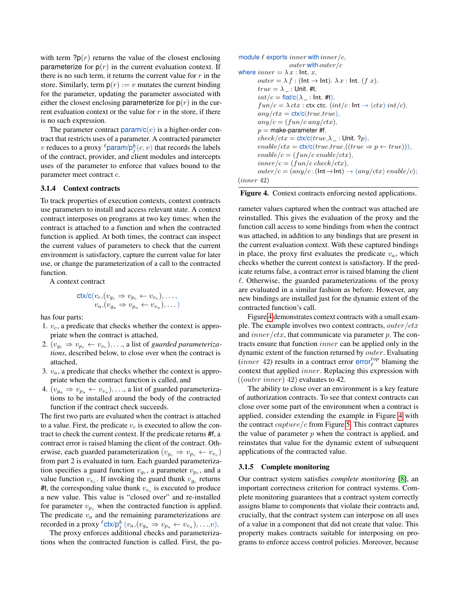with term  $?p(r)$  returns the value of the closest enclosing parameterize for  $p(r)$  in the current evaluation context. If there is no such term, it returns the current value for  $r$  in the store. Similarly, term  $p(r) := v$  mutates the current binding for the parameter, updating the parameter associated with either the closest enclosing parameterize for  $p(r)$  in the current evaluation context or the value for  $r$  in the store, if there is no such expression.

The parameter contract  $\text{param}/c(c)$  is a higher-order contract that restricts uses of a parameter. A contracted parameter v reduces to a proxy  $\ell$ param/p ${}_j^k(c, v)$  that records the labels of the contract, provider, and client modules and intercepts uses of the parameter to enforce that values bound to the parameter meet contract c.

#### 3.1.4 Context contracts

To track properties of execution contexts, context contracts use parameters to install and access relevant state. A context contract interposes on programs at two key times: when the contract is attached to a function and when the contracted function is applied. At both times, the contract can inspect the current values of parameters to check that the current environment is satisfactory, capture the current value for later use, or change the parameterization of a call to the contracted function.

A context contract

$$
\operatorname{ctx/c}(v_c, (v_{g_c} \Rightarrow v_{p_c} \leftarrow v_{v_c}), \dots, \\ v_a, (v_{g_a} \Rightarrow v_{p_a} \leftarrow v_{v_a}), \dots)
$$

has four parts:

- 1.  $v_c$ , a predicate that checks whether the context is appropriate when the contract is attached,
- 2.  $(v_{g_c} \Rightarrow v_{p_c} \leftarrow v_{v_c}), \ldots$ , a list of *guarded parameterizations*, described below, to close over when the contract is attached,
- 3.  $v_a$ , a predicate that checks whether the context is appropriate when the contract function is called, and
- 4.  $(v_{g_a} \Rightarrow v_{p_a} \leftarrow v_{v_a}), \dots$ , a list of guarded parameterizations to be installed around the body of the contracted function if the contract check succeeds.

The first two parts are evaluated when the contract is attached to a value. First, the predicate  $v_c$  is executed to allow the contract to check the current context. If the predicate returns #f, a contract error is raised blaming the client of the contract. Otherwise, each guarded parameterization  $(v_{g_c} \Rightarrow v_{p_c} \leftarrow v_{v_c})$ from part 2 is evaluated in turn. Each guarded parameterization specifies a guard function  $v_{g_c}$ , a parameter  $v_{p_c}$ , and a value function  $v_{v_c}$ . If invoking the guard thunk  $v_{g_c}$  returns #t, the corresponding value thunk  $v_{v_c}$  is executed to produce a new value. This value is "closed over" and re-installed for parameter  $v_{p_c}$  when the contracted function is applied. The predicate  $v_a$  and the remaining parameterizations are recorded in a proxy  $^{\ell}$ ctx/ $p_j^k$   $(v_a, (v_{g_a} \Rightarrow v_{p_a} \leftarrow v_{v_a}), \ldots, v)$ .

The proxy enforces additional checks and parameterizations when the contracted function is called. First, the pa-

```
module \ell exports inner with inner/c,
                     outer with outer/c
where inner = \lambda x : Int. x,
        outer = \lambda f: (Int \rightarrow Int). \lambda x: Int. (f x),
        true = \lambda_{-}: Unit. #t,
        int/c = \frac{flat}{c(\lambda)}: Int. #t),
        fun/c = \lambda ctx: ctx ctc. (int/c : Int \rightarrow (ctx) int/c),any/ctx = ctx/c(true,true),
        any/c = (fun/c \ any/ctx),p = make-parameter #f,
        check/ctx = \text{ctx/c}(true, \lambda \_ : Unit. ?p),
        enable/ctx = \text{ctx/c}(true, true, ((true \Rightarrow p \leftarrow true)))enable/c = (fun/c \text{ }enable/ctx),inner/c = (fun/c \, check/ctx),outer/c = (any/c : (Int \rightarrow Int) \rightarrow (any/ctx) enable/c);
(inner 42)
```
<span id="page-6-0"></span>Figure 4. Context contracts enforcing nested applications.

rameter values captured when the contract was attached are reinstalled. This gives the evaluation of the proxy and the function call access to some bindings from when the contract was attached, in addition to any bindings that are present in the current evaluation context. With these captured bindings in place, the proxy first evaluates the predicate  $v_a$ , which checks whether the current context is satisfactory. If the predicate returns false, a contract error is raised blaming the client  $\ell$ . Otherwise, the guarded parameterizations of the proxy are evaluated in a similar fashion as before. However, any new bindings are installed just for the dynamic extent of the contracted function's call.

Figure [4](#page-6-0) demonstrates context contracts with a small example. The example involves two context contracts, outer/ctx and  $inner/ctx$ , that communicate via parameter p. The contracts ensure that function inner can be applied only in the dynamic extent of the function returned by outer. Evaluating  $(inner 42)$  results in a contract error  $error_{\ell}^{top}$  blaming the context that applied inner. Replacing this expression with  $((outer\ inner)\ 42)$  evaluates to 42.

The ability to close over an environment is a key feature of authorization contracts. To see that context contracts can close over some part of the environment when a contract is applied, consider extending the example in Figure [4](#page-6-0) with the contract  $capture/c$  from Figure [5.](#page-7-1) This contract captures the value of parameter  $p$  when the contract is applied, and reinstates that value for the dynamic extent of subsequent applications of the contracted value.

#### 3.1.5 Complete monitoring

Our contract system satisfies *complete monitoring* [\[8\]](#page-15-12), an important correctness criterion for contract systems. Complete monitoring guarantees that a contract system correctly assigns blame to components that violate their contracts and, crucially, that the contract system can interpose on all uses of a value in a component that did not create that value. This property makes contracts suitable for interposing on programs to enforce access control policies. Moreover, because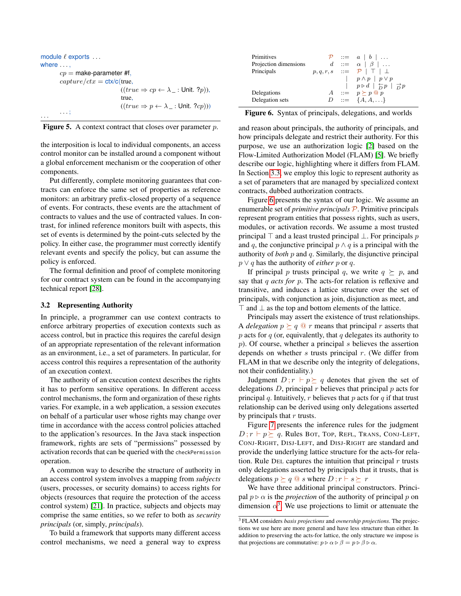```
module \ell exports \dotswhere ...,
          cp = make-parameter #f,
          capture/ctx = ctx/c(true,
                                         ((true \Rightarrow cp \leftarrow \lambda_{-}: \text{Unit. } ?p)),true,
                                         ((true \Rightarrow p \leftarrow \lambda_{-}: \text{Unit. } ?cp))). . . ;
. . .
```
<span id="page-7-1"></span>

|  |  |  |  | <b>Figure 5.</b> A context contract that closes over parameter $p$ . |  |
|--|--|--|--|----------------------------------------------------------------------|--|
|--|--|--|--|----------------------------------------------------------------------|--|

the interposition is local to individual components, an access control monitor can be installed around a component without a global enforcement mechanism or the cooperation of other components.

Put differently, complete monitoring guarantees that contracts can enforce the same set of properties as reference monitors: an arbitrary prefix-closed property of a sequence of events. For contracts, these events are the attachment of contracts to values and the use of contracted values. In contrast, for inlined reference monitors built with aspects, this set of events is determined by the point-cuts selected by the policy. In either case, the programmer must correctly identify relevant events and specify the policy, but can assume the policy is enforced.

The formal definition and proof of complete monitoring for our contract system can be found in the accompanying technical report [\[28\]](#page-15-13).

### <span id="page-7-0"></span>3.2 Representing Authority

In principle, a programmer can use context contracts to enforce arbitrary properties of execution contexts such as access control, but in practice this requires the careful design of an appropriate representation of the relevant information as an environment, i.e., a set of parameters. In particular, for access control this requires a representation of the authority of an execution context.

The authority of an execution context describes the rights it has to perform sensitive operations. In different access control mechanisms, the form and organization of these rights varies. For example, in a web application, a session executes on behalf of a particular user whose rights may change over time in accordance with the access control policies attached to the application's resources. In the Java stack inspection framework, rights are sets of "permissions" possessed by activation records that can be queried with the checkPermission operation.

A common way to describe the structure of authority in an access control system involves a mapping from *subjects* (users, processes, or security domains) to access rights for objects (resources that require the protection of the access control system) [\[21\]](#page-15-14). In practice, subjects and objects may comprise the same entities, so we refer to both as *security principals* (or, simply, *principals*).

To build a framework that supports many different access control mechanisms, we need a general way to express

| Primitives            |  | $\mathcal{P}$ ::= $a \mid b \mid $                                                                        |
|-----------------------|--|-----------------------------------------------------------------------------------------------------------|
| Projection dimensions |  | $d \ ::= \ \alpha \mid \beta \mid \dots$                                                                  |
| Principals            |  | $p,q,r,s \quad ::= \quad \mathcal{P} \mid \top \mid \bot$                                                 |
|                       |  | $\left  p \wedge p \right  p \vee p$                                                                      |
|                       |  | $\left  p \triangleright d \right  \stackrel{\leftarrow}{D} p \left  \stackrel{\rightarrow}{D} p \right $ |
| Delegations           |  | $A \ ::= p \succ p \; \textcircled{e} \; p$                                                               |
| Delegation sets       |  | $D := \{A, A, \}$                                                                                         |
|                       |  |                                                                                                           |

<span id="page-7-2"></span>Figure 6. Syntax of principals, delegations, and worlds

and reason about principals, the authority of principals, and how principals delegate and restrict their authority. For this purpose, we use an authorization logic [\[2\]](#page-14-0) based on the Flow-Limited Authorization Model (FLAM) [\[5\]](#page-14-1). We briefly describe our logic, highlighting where it differs from FLAM. In Section [3.3,](#page-8-0) we employ this logic to represent authority as a set of parameters that are managed by specialized context contracts, dubbed authorization contracts.

Figure [6](#page-7-2) presents the syntax of our logic. We assume an enumerable set of *primitive principals* P. Primitive principals represent program entities that possess rights, such as users, modules, or activation records. We assume a most trusted principal  $\top$  and a least trusted principal  $\bot$ . For principals p and q, the conjunctive principal  $p \wedge q$  is a principal with the authority of *both* p and q. Similarly, the disjunctive principal *p* ∨ *q* has the authority of *either p* or *q*.

If principal p trusts principal q, we write  $q \succeq p$ , and say that q *acts for* p. The acts-for relation is reflexive and transitive, and induces a lattice structure over the set of principals, with conjunction as join, disjunction as meet, and  $\top$  and  $\bot$  as the top and bottom elements of the lattice.

Principals may assert the existence of trust relationships. A *delegation*  $p \succeq q \t Q r$  means that principal r asserts that  $p$  acts for  $q$  (or, equivalently, that  $q$  delegates its authority to  $p$ ). Of course, whether a principal  $s$  believes the assertion depends on whether s trusts principal  $r$ . (We differ from FLAM in that we describe only the integrity of delegations, not their confidentiality.)

Judgment  $D; r \vdash p \succeq q$  denotes that given the set of delegations  $D$ , principal r believes that principal  $p$  acts for principal q. Intuitively, r believes that p acts for  $q$  if that trust relationship can be derived using only delegations asserted by principals that  $r$  trusts.

Figure [7](#page-8-1) presents the inference rules for the judgment  $D; r \vdash p \succeq q$ . Rules BOT, TOP, REFL, TRANS, CONJ-LEFT, CONJ-RIGHT, DISJ-LEFT, and DISJ-RIGHT are standard and provide the underlying lattice structure for the acts-for relation. Rule DEL captures the intuition that principal  $r$  trusts only delegations asserted by principals that it trusts, that is delegations  $p \succeq q \t Q s$  where  $D; r \vdash s \succeq r$ 

We have three additional principal constructors. Principal  $p \triangleright \alpha$  is the *projection* of the authority of principal p on dimension  $\alpha^3$  $\alpha^3$ . We use projections to limit or attenuate the

<span id="page-7-3"></span><sup>3</sup> FLAM considers *basis projections* and *ownership projections*. The projections we use here are more general and have less structure than either. In addition to preserving the acts-for lattice, the only structure we impose is that projections are commutative:  $p \triangleright \alpha \triangleright \beta = p \triangleright \beta \triangleright \alpha$ .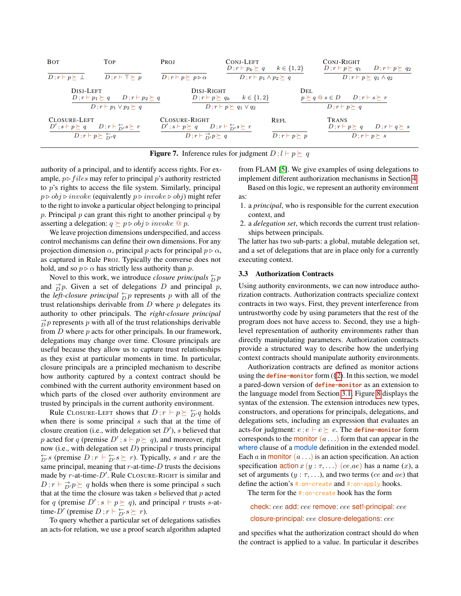

<span id="page-8-1"></span>**Figure 7.** Inference rules for judgment  $D$ ;  $l \vdash p \succeq q$ 

authority of a principal, and to identify access rights. For example,  $p \triangleright \text{files}$  may refer to principal p's authority restricted to p's rights to access the file system. Similarly, principal  $p \triangleright obj \triangleright \mathit{invoke}$  (equivalently  $p \triangleright \mathit{invoke} \triangleright obj$ ) might refer to the right to invoke a particular object belonging to principal p. Principal  $p$  can grant this right to another principal  $q$  by asserting a delegation:  $q \succeq p \triangleright obj \triangleright invoke \tQ p$ .

We leave projection dimensions underspecified, and access control mechanisms can define their own dimensions. For any projection dimension  $\alpha$ , principal p acts for principal  $p \triangleright \alpha$ , as captured in Rule PROJ. Typically the converse does not hold, and so  $p \triangleright \alpha$  has strictly less authority than p.

Novel to this work, we introduce *closure principals*  $\frac{1}{D}p$ and  $\overrightarrow{D}p$ . Given a set of delegations D and principal p, the *left-closure principal*  $\frac{\leftarrow}{D}p$  represents p with all of the trust relationships derivable from  $D$  where  $p$  delegates its authority to other principals. The *right-closure principal*  $\vec{D}$  p represents p with all of the trust relationships derivable from  $D$  where  $p$  acts for other principals. In our framework, delegations may change over time. Closure principals are useful because they allow us to capture trust relationships as they exist at particular moments in time. In particular, closure principals are a principled mechanism to describe how authority captured by a context contract should be combined with the current authority environment based on which parts of the closed over authority environment are trusted by principals in the current authority environment.

Rule CLOSURE-LEFT shows that  $D; r \vdash p \succeq \frac{\leftarrow}{D'} q$  holds when there is some principal  $s$  such that at the time of closure creation (i.e., with delegation set  $D'$ ), s believed that p acted for q (premise  $D'$ ;  $s \vdash p \succeq q$ ), and moreover, right now (i.e., with delegation set  $D$ ) principal r trusts principal  $\overleftarrow{D}$ 's (premise  $D; r \vdash \overleftarrow{D}$ 's  $\succeq r$ ). Typically, s and r are the same principal, meaning that  $r$ -at-time- $D$  trusts the decisions made by  $r$ -at-time- $D'$ . Rule CLOSURE-RIGHT is similar and  $D; r \vdash \exists p'p \succeq q$  holds when there is some principal s such that at the time the closure was taken  $s$  believed that  $p$  acted for q (premise  $D'$ ;  $s \vdash p \succeq q$ ), and principal r trusts s-attime-D' (premise  $D; r \vdash \frac{\leftarrow}{D}, s \succeq r$ ).

To query whether a particular set of delegations satisfies an acts-for relation, we use a proof search algorithm adapted

from FLAM [\[5\]](#page-14-1). We give examples of using delegations to implement different authorization mechanisms in Section [4.](#page-9-0)

Based on this logic, we represent an authority environment as:

- 1. a *principal*, who is responsible for the current execution context, and
- 2. a *delegation set*, which records the current trust relationships between principals.

The latter has two sub-parts: a global, mutable delegation set, and a set of delegations that are in place only for a currently executing context.

#### <span id="page-8-0"></span>3.3 Authorization Contracts

Using authority environments, we can now introduce authorization contracts. Authorization contracts specialize context contracts in two ways. First, they prevent interference from untrustworthy code by using parameters that the rest of the program does not have access to. Second, they use a highlevel representation of authority environments rather than directly manipulating parameters. Authorization contracts provide a structured way to describe how the underlying context contracts should manipulate authority environments.

Authorization contracts are defined as monitor actions using the **define-monitor** form ([§2\)](#page-1-0). In this section, we model a pared-down version of **define-monitor** as an extension to the language model from Section [3.1.](#page-3-1) Figure [8](#page-9-1) displays the syntax of the extension. The extension introduces new types, constructors, and operations for principals, delegations, and delegations sets, including an expression that evaluates an acts-for judgment:  $e$ ;  $e \vdash e \succeq e$ . The **define-monitor** form corresponds to the monitor  $(a \dots)$  form that can appear in the where clause of a module definition in the extended model. Each a in monitor  $(a \dots)$  is an action specification. An action specification  $\arctan x (y : \tau, ...)$  (ce,ae) has a name (x), a set of arguments  $(y : \tau, \ldots)$ , and two terms (ce and ae) that define the action's #:on-create and #:on-apply hooks.

The term for the #:on-create hook has the form

check: cee add: cee remove: cee set!-principal: cee closure-principal: cee closure-delegations: cee

and specifies what the authorization contract should do when the contract is applied to a value. In particular it describes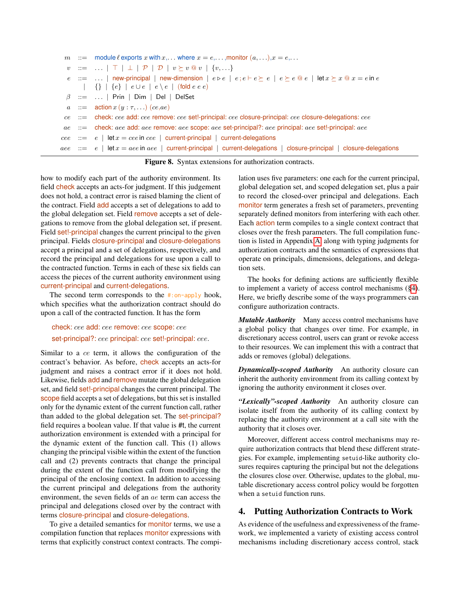```
m ::= module \ell exports x with x, \ldots where x = e, \ldots, monitor (a, \ldots), x = e, \ldotsv : := \ldots | \top | \bot | \mathcal{P} | \mathcal{D} | v \succeq v \mathcal{Q} v | \{v, \ldots\}e ::= ... | new-principal | new-dimension | e \triangleright e | e \cdot e \vdash e \succeq e | e \succeq e \circ e | let x \succeq x \circ x = e in e\left| \quad \right\} \ \ \right| \ \ \{e\} \ \ \left| \ \ e \cup e \ \ \right| \ \ e \setminus e \ \ \left| \ \ (\text{fold} \ e \ e \ e) \right|\beta ::= ... | Prin | Dim | Del | DelSet
  a ::= action x(y : \tau, ...) (ce,ae)
 ce ::= check: cee add: cee remove: cee set!-principal: cee closure-principal: cee closure-delegations: cee
 ae ::= check: aee add: aee remove: aee scope: aee set-principal?: aee principal: aee set!-principal: aee
cee ::= e | let x = cee in cee | current-principal | current-delegations
ace ::= e | let x = ace in aee | current-principal | current-delegations | closure-principal | closure-delegations
```
<span id="page-9-1"></span>Figure 8. Syntax extensions for authorization contracts.

how to modify each part of the authority environment. Its field check accepts an acts-for judgment. If this judgement does not hold, a contract error is raised blaming the client of the contract. Field add accepts a set of delegations to add to the global delegation set. Field remove accepts a set of delegations to remove from the global delegation set, if present. Field set!-principal changes the current principal to the given principal. Fields closure-principal and closure-delegations accept a principal and a set of delegations, respectively, and record the principal and delegations for use upon a call to the contracted function. Terms in each of these six fields can access the pieces of the current authority environment using current-principal and current-delegations.

The second term corresponds to the #:on-apply hook, which specifies what the authorization contract should do upon a call of the contracted function. It has the form

check: cee add: cee remove: cee scope: cee set-principal?: cee principal: cee set!-principal: cee.

Similar to a ce term, it allows the configuration of the contract's behavior. As before, check accepts an acts-for judgment and raises a contract error if it does not hold. Likewise, fields add and remove mutate the global delegation set, and field set!-principal changes the current principal. The scope field accepts a set of delegations, but this set is installed only for the dynamic extent of the current function call, rather than added to the global delegation set. The set-principal? field requires a boolean value. If that value is #t, the current authorization environment is extended with a principal for the dynamic extent of the function call. This (1) allows changing the principal visible within the extent of the function call and (2) prevents contracts that change the principal during the extent of the function call from modifying the principal of the enclosing context. In addition to accessing the current principal and delegations from the authority environment, the seven fields of an ae term can access the principal and delegations closed over by the contract with terms closure-principal and closure-delegations.

To give a detailed semantics for **monitor** terms, we use a compilation function that replaces monitor expressions with terms that explicitly construct context contracts. The compilation uses five parameters: one each for the current principal, global delegation set, and scoped delegation set, plus a pair to record the closed-over principal and delegations. Each monitor term generates a fresh set of parameters, preventing separately defined monitors from interfering with each other. Each action term compiles to a single context contract that closes over the fresh parameters. The full compilation function is listed in Appendix [A,](#page-16-0) along with typing judgments for authorization contracts and the semantics of expressions that operate on principals, dimensions, delegations, and delegation sets.

The hooks for defining actions are sufficiently flexible to implement a variety of access control mechanisms ([§4\)](#page-9-0). Here, we briefly describe some of the ways programmers can configure authorization contracts.

*Mutable Authority* Many access control mechanisms have a global policy that changes over time. For example, in discretionary access control, users can grant or revoke access to their resources. We can implement this with a contract that adds or removes (global) delegations.

*Dynamically-scoped Authority* An authority closure can inherit the authority environment from its calling context by ignoring the authority environment it closes over.

*"Lexically"-scoped Authority* An authority closure can isolate itself from the authority of its calling context by replacing the authority environment at a call site with the authority that it closes over.

Moreover, different access control mechanisms may require authorization contracts that blend these different strategies. For example, implementing setuid-like authority closures requires capturing the principal but not the delegations the closures close over. Otherwise, updates to the global, mutable discretionary access control policy would be forgotten when a setuid function runs.

# <span id="page-9-0"></span>4. Putting Authorization Contracts to Work

As evidence of the usefulness and expressiveness of the framework, we implemented a variety of existing access control mechanisms including discretionary access control, stack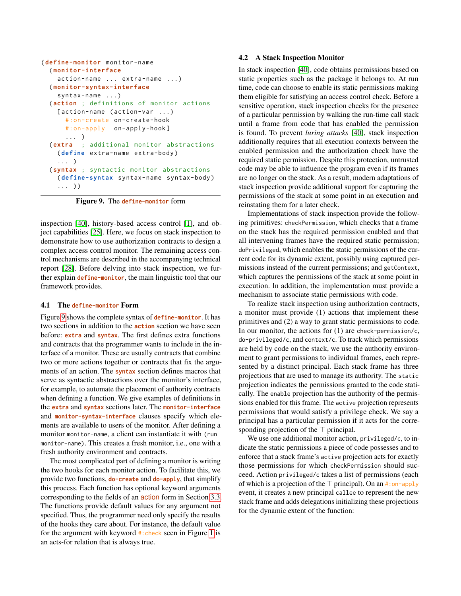```
( define-monitor monitor-name
  ( monitor-interface
   action-name ... extra-name ...)
  ( monitor-syntax-interface
   syntax-name ...)
  ( action ; definitions of monitor actions
   [action-name (action-var ...)
      #:on-create on-create-hook
      #:on-apply on-apply-hook ]
      ... )
  ( extra ; additional monitor abstractions
   ( define extra-name extra-body )
    ... )
  ( syntax ; syntactic monitor abstractions
   ( define-syntax syntax-name syntax-body )
    ... ) )
```
<span id="page-10-0"></span>Figure 9. The **define-monitor** form

inspection [\[40\]](#page-15-0), history-based access control [\[1\]](#page-14-2), and object capabilities [\[25\]](#page-15-1). Here, we focus on stack inspection to demonstrate how to use authorization contracts to design a complex access control monitor. The remaining access control mechanisms are described in the accompanying technical report [\[28\]](#page-15-13). Before delving into stack inspection, we further explain **define-monitor**, the main linguistic tool that our framework provides.

#### 4.1 The **define-monitor** Form

Figure [9](#page-10-0) shows the complete syntax of **define-monitor**. It has two sections in addition to the **action** section we have seen before: **extra** and **syntax**. The first defines extra functions and contracts that the programmer wants to include in the interface of a monitor. These are usually contracts that combine two or more actions together or contracts that fix the arguments of an action. The **syntax** section defines macros that serve as syntactic abstractions over the monitor's interface, for example, to automate the placement of authority contracts when defining a function. We give examples of definitions in the **extra** and **syntax** sections later. The **monitor-interface** and **monitor-syntax-interface** clauses specify which elements are available to users of the monitor. After defining a monitor monitor-name, a client can instantiate it with (run monitor-name). This creates a fresh monitor, i.e., one with a fresh authority environment and contracts.

The most complicated part of defining a monitor is writing the two hooks for each monitor action. To facilitate this, we provide two functions, **do-create** and **do-apply**, that simplify this process. Each function has optional keyword arguments corresponding to the fields of an action form in Section [3.3.](#page-8-0) The functions provide default values for any argument not specified. Thus, the programmer need only specify the results of the hooks they care about. For instance, the default value for the argument with keyword #:check seen in Figure [1](#page-2-2) is an acts-for relation that is always true.

#### 4.2 A Stack Inspection Monitor

In stack inspection [\[40\]](#page-15-0), code obtains permissions based on static properties such as the package it belongs to. At run time, code can choose to enable its static permissions making them eligible for satisfying an access control check. Before a sensitive operation, stack inspection checks for the presence of a particular permission by walking the run-time call stack until a frame from code that has enabled the permission is found. To prevent *luring attacks* [\[40\]](#page-15-0), stack inspection additionally requires that all execution contexts between the enabled permission and the authorization check have the required static permission. Despite this protection, untrusted code may be able to influence the program even if its frames are no longer on the stack. As a result, modern adaptations of stack inspection provide additional support for capturing the permissions of the stack at some point in an execution and reinstating them for a later check.

Implementations of stack inspection provide the following primitives: checkPermission, which checks that a frame on the stack has the required permission enabled and that all intervening frames have the required static permission; doPrivileged, which enables the static permissions of the current code for its dynamic extent, possibly using captured permissions instead of the current permissions; and getContext, which captures the permissions of the stack at some point in execution. In addition, the implementation must provide a mechanism to associate static permissions with code.

To realize stack inspection using authorization contracts, a monitor must provide (1) actions that implement these primitives and (2) a way to grant static permissions to code. In our monitor, the actions for  $(1)$  are check-permission/c, do-privileged/c, and context/c. To track which permissions are held by code on the stack, we use the authority environment to grant permissions to individual frames, each represented by a distinct principal. Each stack frame has three projections that are used to manage its authority. The static projection indicates the permissions granted to the code statically. The enable projection has the authority of the permissions enabled for this frame. The active projection represents permissions that would satisfy a privilege check. We say a principal has a particular permission if it acts for the corresponding projection of the  $\top$  principal.

We use one additional monitor action, privileged/c, to indicate the static permissions a piece of code possesses and to enforce that a stack frame's active projection acts for exactly those permissions for which checkPermission should succeed. Action privileged/c takes a list of permissions (each of which is a projection of the  $\top$  principal). On an #: on-apply event, it creates a new principal callee to represent the new stack frame and adds delegations initializing these projections for the dynamic extent of the function: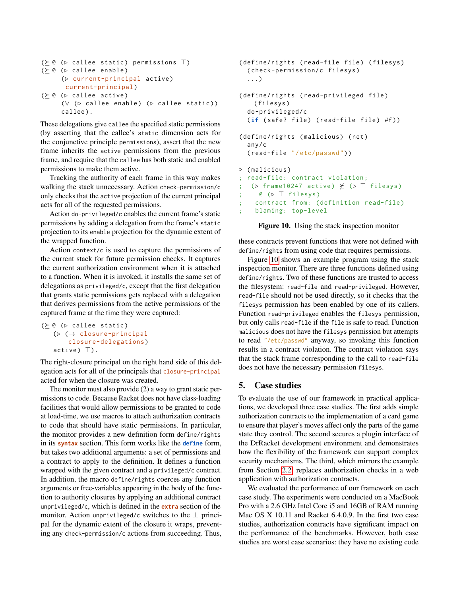```
(\succeq @ (c \text{ called static}) \text{ permutations } \top)( @ (. callee enable )
       (\triangleright current-principal active)
         current-principal )
(\succeq @ (c \text{ called } a \text{ctive})(∨ (\triangleright callee enable) (\triangleright callee static))
       callee).
```
These delegations give callee the specified static permissions (by asserting that the callee's static dimension acts for the conjunctive principle permissions), assert that the new frame inherits the active permissions from the previous frame, and require that the callee has both static and enabled permissions to make them active.

Tracking the authority of each frame in this way makes walking the stack unnecessary. Action check-permission/c only checks that the active projection of the current principal acts for all of the requested permissions.

Action do-privileged/c enables the current frame's static permissions by adding a delegation from the frame's static projection to its enable projection for the dynamic extent of the wrapped function.

Action context/c is used to capture the permissions of the current stack for future permission checks. It captures the current authorization environment when it is attached to a function. When it is invoked, it installs the same set of delegations as privileged/c, except that the first delegation that grants static permissions gets replaced with a delegation that derives permissions from the active permissions of the captured frame at the time they were captured:

```
(\succ @ ( \triangleright callee static)
      (\triangleright \hspace{0.2cm} (\rightarrow \hspace{0.2cm} \text{closure-principal}closure-delegations )
      active) ).
```
The right-closure principal on the right hand side of this delegation acts for all of the principals that closure-principal acted for when the closure was created.

The monitor must also provide (2) a way to grant static permissions to code. Because Racket does not have class-loading facilities that would allow permissions to be granted to code at load-time, we use macros to attach authorization contracts to code that should have static permissions. In particular, the monitor provides a new definition form define/rights in its **syntax** section. This form works like the **define** form, but takes two additional arguments: a set of permissions and a contract to apply to the definition. It defines a function wrapped with the given contract and a privileged/c contract. In addition, the macro define/rights coerces any function arguments or free-variables appearing in the body of the function to authority closures by applying an additional contract unprivileged/c, which is defined in the **extra** section of the monitor. Action unprivileged/c switches to the  $\perp$  principal for the dynamic extent of the closure it wraps, preventing any check-permission/c actions from succeeding. Thus,

```
(define/rights (read-file file) (filesys)
  ( check-permission/c filesys )
  ...)
( define/rights ( read-privileged file )
    ( filesys )
  do-privileged/c
  (if (safe? file) (read-file file) #f))
(define/rights (malicious) (net)
  any/c
  ( read-file "/ etc/passwd ") )
> ( malicious )
  read-file: contract violation;
   (\triangleright frame10247 active) \angle (\triangleright T filesys)
; @~(p \top \text{filesys})contract from: (definition read-file)
; blaming: top-level
```
<span id="page-11-1"></span>Figure 10. Using the stack inspection monitor

these contracts prevent functions that were not defined with define/rights from using code that requires permissions.

Figure [10](#page-11-1) shows an example program using the stack inspection monitor. There are three functions defined using define/rights. Two of these functions are trusted to access the filesystem: read-file and read-privileged. However, read-file should not be used directly, so it checks that the filesys permission has been enabled by one of its callers. Function read-privileged enables the filesys permission, but only calls read-file if the file is safe to read. Function malicious does not have the filesys permission but attempts to read "/etc/passwd" anyway, so invoking this function results in a contract violation. The contract violation says that the stack frame corresponding to the call to read-file does not have the necessary permission filesys.

# <span id="page-11-0"></span>5. Case studies

To evaluate the use of our framework in practical applications, we developed three case studies. The first adds simple authorization contracts to the implementation of a card game to ensure that player's moves affect only the parts of the game state they control. The second secures a plugin interface of the DrRacket development environment and demonstrates how the flexibility of the framework can support complex security mechanisms. The third, which mirrors the example from Section [2.2,](#page-2-0) replaces authorization checks in a web application with authorization contracts.

We evaluated the performance of our framework on each case study. The experiments were conducted on a MacBook Pro with a 2.6 GHz Intel Core i5 and 16GB of RAM running Mac OS X 10.11 and Racket 6.4.0.9. In the first two case studies, authorization contracts have significant impact on the performance of the benchmarks. However, both case studies are worst case scenarios: they have no existing code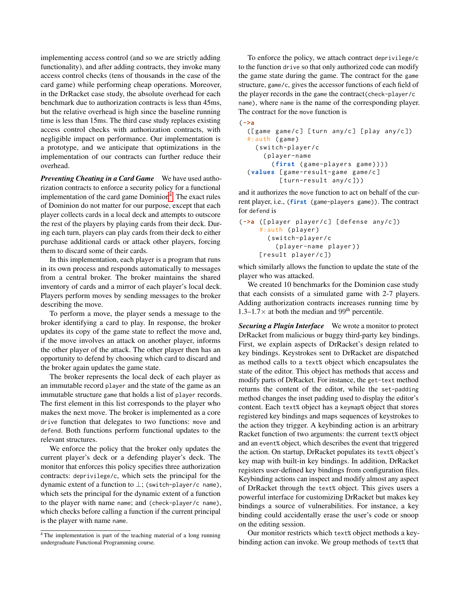implementing access control (and so we are strictly adding functionality), and after adding contracts, they invoke many access control checks (tens of thousands in the case of the card game) while performing cheap operations. Moreover, in the DrRacket case study, the absolute overhead for each benchmark due to authorization contracts is less than 45ms, but the relative overhead is high since the baseline running time is less than 15ms. The third case study replaces existing access control checks with authorization contracts, with negligible impact on performance. Our implementation is a prototype, and we anticipate that optimizations in the implementation of our contracts can further reduce their overhead.

*Preventing Cheating in a Card Game* We have used authorization contracts to enforce a security policy for a functional implementation of the card game Dominion<sup>[4](#page-12-0)</sup>. The exact rules of Dominion do not matter for our purpose, except that each player collects cards in a local deck and attempts to outscore the rest of the players by playing cards from their deck. During each turn, players can play cards from their deck to either purchase additional cards or attack other players, forcing them to discard some of their cards.

In this implementation, each player is a program that runs in its own process and responds automatically to messages from a central broker. The broker maintains the shared inventory of cards and a mirror of each player's local deck. Players perform moves by sending messages to the broker describing the move.

To perform a move, the player sends a message to the broker identifying a card to play. In response, the broker updates its copy of the game state to reflect the move and, if the move involves an attack on another player, informs the other player of the attack. The other player then has an opportunity to defend by choosing which card to discard and the broker again updates the game state.

The broker represents the local deck of each player as an immutable record player and the state of the game as an immutable structure game that holds a list of player records. The first element in this list corresponds to the player who makes the next move. The broker is implemented as a core drive function that delegates to two functions: move and defend. Both functions perform functional updates to the relevant structures.

We enforce the policy that the broker only updates the current player's deck or a defending player's deck. The monitor that enforces this policy specifies three authorization contracts: deprivilege/c, which sets the principal for the dynamic extent of a function to  $\bot$ ; (switch-player/c name), which sets the principal for the dynamic extent of a function to the player with name name; and (check-player/c name), which checks before calling a function if the current principal is the player with name name.

To enforce the policy, we attach contract deprivilege/c to the function drive so that only authorized code can modify the game state during the game. The contract for the game structure, game/c, gives the accessor functions of each field of the player records in the game the contract(check-player/c name), where name is the name of the corresponding player. The contract for the move function is

```
( ->a
  ([ game game/c ] [ turn any/c ] [ play any/c ])
  #:auth (game)
    ( switch-player/c
      ( player-name
         ( first ( game-players game ) ) ) )
  ( values [ game-result-game game/c ]
           [turn-result any/c]))
```
and it authorizes the move function to act on behalf of the current player, i.e., (**first** (game-players game)). The contract for defend is

```
( ->a ([ player player/c ] [ defense any/c ])
     #:auth ( player )
        ( switch-player/c
          ( player-name player ) )
     [ result player/c ])
```
which similarly allows the function to update the state of the player who was attacked.

We created 10 benchmarks for the Dominion case study that each consists of a simulated game with 2-7 players. Adding authorization contracts increases running time by  $1.3-1.7\times$  at both the median and 99<sup>th</sup> percentile.

*Securing a Plugin Interface* We wrote a monitor to protect DrRacket from malicious or buggy third-party key bindings. First, we explain aspects of DrRacket's design related to key bindings. Keystrokes sent to DrRacket are dispatched as method calls to a text% object which encapsulates the state of the editor. This object has methods that access and modify parts of DrRacket. For instance, the get-text method returns the content of the editor, while the set-padding method changes the inset padding used to display the editor's content. Each text% object has a keymap% object that stores registered key bindings and maps sequences of keystrokes to the action they trigger. A keybinding action is an arbitrary Racket function of two arguments: the current text% object and an event% object, which describes the event that triggered the action. On startup, DrRacket populates its text% object's key map with built-in key bindings. In addition, DrRacket registers user-defined key bindings from configuration files. Keybinding actions can inspect and modify almost any aspect of DrRacket through the text% object. This gives users a powerful interface for customizing DrRacket but makes key bindings a source of vulnerabilities. For instance, a key binding could accidentally erase the user's code or snoop on the editing session.

Our monitor restricts which text% object methods a keybinding action can invoke. We group methods of text% that

<span id="page-12-0"></span><sup>&</sup>lt;sup>4</sup>The implementation is part of the teaching material of a long running undergraduate Functional Programming course.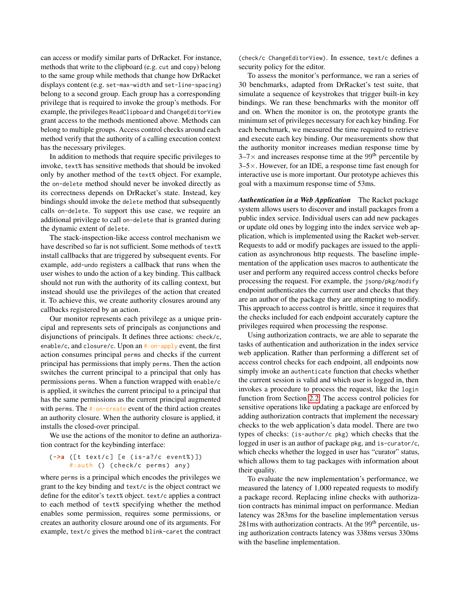can access or modify similar parts of DrRacket. For instance, methods that write to the clipboard (e.g. cut and copy) belong to the same group while methods that change how DrRacket displays content (e.g. set-max-width and set-line-spacing) belong to a second group. Each group has a corresponding privilege that is required to invoke the group's methods. For example, the privileges ReadClipboard and ChangeEditorView grant access to the methods mentioned above. Methods can belong to multiple groups. Access control checks around each method verify that the authority of a calling execution context has the necessary privileges.

In addition to methods that require specific privileges to invoke, text% has sensitive methods that should be invoked only by another method of the text% object. For example, the on-delete method should never be invoked directly as its correctness depends on DrRacket's state. Instead, key bindings should invoke the delete method that subsequently calls on-delete. To support this use case, we require an additional privilege to call on-delete that is granted during the dynamic extent of delete.

The stack-inspection-like access control mechanism we have described so far is not sufficient. Some methods of text% install callbacks that are triggered by subsequent events. For example, add-undo registers a callback that runs when the user wishes to undo the action of a key binding. This callback should not run with the authority of its calling context, but instead should use the privileges of the action that created it. To achieve this, we create authority closures around any callbacks registered by an action.

Our monitor represents each privilege as a unique principal and represents sets of principals as conjunctions and disjunctions of principals. It defines three actions: check/c, enable/c, and closure/c. Upon an #:on-apply event, the first action consumes principal perms and checks if the current principal has permissions that imply perms. Then the action switches the current principal to a principal that only has permissions perms. When a function wrapped with enable/c is applied, it switches the current principal to a principal that has the same permissions as the current principal augmented with perms. The #:on-create event of the third action creates an authority closure. When the authority closure is applied, it installs the closed-over principal.

We use the actions of the monitor to define an authorization contract for the keybinding interface:

#### (**->a** ([ t text/c ] [ e ( is-a?/c event% ) ]) #:auth () (check/c perms) any)

where perms is a principal which encodes the privileges we grant to the key binding and text/c is the object contract we define for the editor's text% object. text/c applies a contract to each method of text% specifying whether the method enables some permission, requires some permissions, or creates an authority closure around one of its arguments. For example, text/c gives the method blink-caret the contract

(check/c ChangeEditorView). In essence, text/c defines a security policy for the editor.

To assess the monitor's performance, we ran a series of 30 benchmarks, adapted from DrRacket's test suite, that simulate a sequence of keystrokes that trigger built-in key bindings. We ran these benchmarks with the monitor off and on. When the monitor is on, the prototype grants the minimum set of privileges necessary for each key binding. For each benchmark, we measured the time required to retrieve and execute each key binding. Our measurements show that the authority monitor increases median response time by  $3-7\times$  and increases response time at the 99<sup>th</sup> percentile by  $3-5\times$ . However, for an IDE, a response time fast enough for interactive use is more important. Our prototype achieves this goal with a maximum response time of 53ms.

*Authentication in a Web Application* The Racket package system allows users to discover and install packages from a public index service. Individual users can add new packages or update old ones by logging into the index service web application, which is implemented using the Racket web-server. Requests to add or modify packages are issued to the application as asynchronous http requests. The baseline implementation of the application uses macros to authenticate the user and perform any required access control checks before processing the request. For example, the jsonp/pkg/modify endpoint authenticates the current user and checks that they are an author of the package they are attempting to modify. This approach to access control is brittle, since it requires that the checks included for each endpoint accurately capture the privileges required when processing the response.

Using authorization contracts, we are able to separate the tasks of authentication and authorization in the index service web application. Rather than performing a different set of access control checks for each endpoint, all endpoints now simply invoke an authenticate function that checks whether the current session is valid and which user is logged in, then invokes a procedure to process the request, like the login function from Section [2.2.](#page-2-0) The access control policies for sensitive operations like updating a package are enforced by adding authorization contracts that implement the necessary checks to the web application's data model. There are two types of checks: (is-author/c pkg) which checks that the logged in user is an author of package pkg, and is-curator/c, which checks whether the logged in user has "curator" status, which allows them to tag packages with information about their quality.

To evaluate the new implementation's performance, we measured the latency of 1,000 repeated requests to modify a package record. Replacing inline checks with authorization contracts has minimal impact on performance. Median latency was 283ms for the baseline implementation versus  $281\,\text{ms}$  with authorization contracts. At the  $99\text{th}$  percentile, using authorization contracts latency was 338ms versus 330ms with the baseline implementation.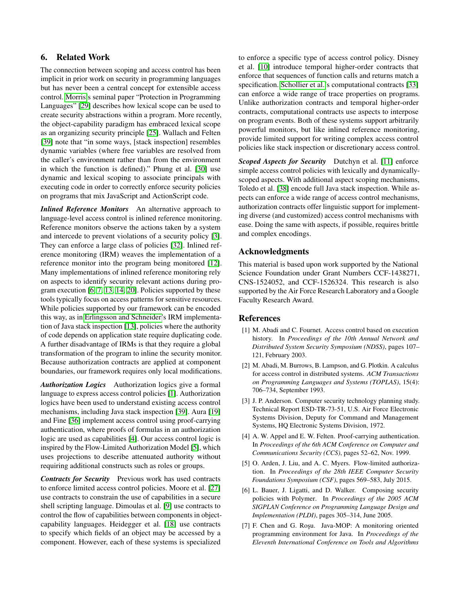# 6. Related Work

The connection between scoping and access control has been implicit in prior work on security in programming languages but has never been a central concept for extensible access control. [Morris'](#page-15-15)s seminal paper "Protection in Programming Languages" [\[29\]](#page-15-15) describes how lexical scope can be used to create security abstractions within a program. More recently, the object-capability paradigm has embraced lexical scope as an organizing security principle [\[25\]](#page-15-1). Wallach and Felten [\[39\]](#page-15-16) note that "in some ways, [stack inspection] resembles dynamic variables (where free variables are resolved from the caller's environment rather than from the environment in which the function is defined)." Phung et al. [\[30\]](#page-15-17) use dynamic and lexical scoping to associate principals with executing code in order to correctly enforce security policies on programs that mix JavaScript and ActionScript code.

*Inlined Reference Monitors* An alternative approach to language-level access control is inlined reference monitoring. Reference monitors observe the actions taken by a system and intercede to prevent violations of a security policy [\[3\]](#page-14-3). They can enforce a large class of policies [\[32\]](#page-15-18). Inlined reference monitoring (IRM) weaves the implementation of a reference monitor into the program being monitored [\[12\]](#page-15-19). Many implementations of inlined reference monitoring rely on aspects to identify security relevant actions during program execution [\[6,](#page-14-4) [7,](#page-14-5) [13,](#page-15-20) [14,](#page-15-21) [20\]](#page-15-22). Policies supported by these tools typically focus on access patterns for sensitive resources. While policies supported by our framework can be encoded this way, as in [Erlingsson and Schneider'](#page-15-20)s IRM implementation of Java stack inspection [\[13\]](#page-15-20), policies where the authority of code depends on application state require duplicating code. A further disadvantage of IRMs is that they require a global transformation of the program to inline the security monitor. Because authorization contracts are applied at component boundaries, our framework requires only local modifications.

*Authorization Logics* Authorization logics give a formal language to express access control policies [\[1\]](#page-14-2). Authorization logics have been used to understand existing access control mechanisms, including Java stack inspection [\[39\]](#page-15-16). Aura [\[19\]](#page-15-23) and Fine [\[36\]](#page-15-24) implement access control using proof-carrying authentication, where proofs of formulas in an authorization logic are used as capabilities [\[4\]](#page-14-6). Our access control logic is inspired by the Flow-Limited Authorization Model [\[5\]](#page-14-1), which uses projections to describe attenuated authority without requiring additional constructs such as roles or groups.

*Contracts for Security* Previous work has used contracts to enforce limited access control policies. Moore et al. [\[27\]](#page-15-25) use contracts to constrain the use of capabilities in a secure shell scripting language. Dimoulas et al. [\[9\]](#page-15-26) use contracts to control the flow of capabilities between components in objectcapability languages. Heidegger et al. [\[18\]](#page-15-27) use contracts to specify which fields of an object may be accessed by a component. However, each of these systems is specialized

to enforce a specific type of access control policy. Disney et al. [\[10\]](#page-15-28) introduce temporal higher-order contracts that enforce that sequences of function calls and returns match a specification. [Schollier et al.'](#page-15-29)s computational contracts [\[33\]](#page-15-29) can enforce a wide range of trace properties on programs. Unlike authorization contracts and temporal higher-order contracts, computational contracts use aspects to interpose on program events. Both of these systems support arbitrarily powerful monitors, but like inlined reference monitoring, provide limited support for writing complex access control policies like stack inspection or discretionary access control.

*Scoped Aspects for Security* Dutchyn et al. [\[11\]](#page-15-30) enforce simple access control policies with lexically and dynamicallyscoped aspects. With additional aspect scoping mechanisms, Toledo et al. [\[38\]](#page-15-31) encode full Java stack inspection. While aspects can enforce a wide range of access control mechanisms, authorization contracts offer linguistic support for implementing diverse (and customized) access control mechanisms with ease. Doing the same with aspects, if possible, requires brittle and complex encodings.

# Acknowledgments

This material is based upon work supported by the National Science Foundation under Grant Numbers CCF-1438271, CNS-1524052, and CCF-1526324. This research is also supported by the Air Force Research Laboratory and a Google Faculty Research Award.

# References

- <span id="page-14-2"></span>[1] M. Abadi and C. Fournet. Access control based on execution history. In *Proceedings of the 10th Annual Network and Distributed System Security Symposium (NDSS)*, pages 107– 121, February 2003.
- <span id="page-14-0"></span>[2] M. Abadi, M. Burrows, B. Lampson, and G. Plotkin. A calculus for access control in distributed systems. *ACM Transactions on Programming Languages and Systems (TOPLAS)*, 15(4): 706–734, September 1993.
- <span id="page-14-3"></span>[3] J. P. Anderson. Computer security technology planning study. Technical Report ESD-TR-73-51, U.S. Air Force Electronic Systems Division, Deputy for Command and Management Systems, HQ Electronic Systems Division, 1972.
- <span id="page-14-6"></span>[4] A. W. Appel and E. W. Felten. Proof-carrying authentication. In *Proceedings of the 6th ACM Conference on Computer and Communications Security (CCS)*, pages 52–62, Nov. 1999.
- <span id="page-14-1"></span>[5] O. Arden, J. Liu, and A. C. Myers. Flow-limited authorization. In *Proceedings of the 28th IEEE Computer Security Foundations Symposium (CSF)*, pages 569–583, July 2015.
- <span id="page-14-4"></span>[6] L. Bauer, J. Ligatti, and D. Walker. Composing security policies with Polymer. In *Proceedings of the 2005 ACM SIGPLAN Conference on Programming Language Design and Implementation (PLDI)*, pages 305–314, June 2005.
- <span id="page-14-5"></span>[7] F. Chen and G. Roşu. Java-MOP: A monitoring oriented programming environment for Java. In *Proceedings of the Eleventh International Conference on Tools and Algorithms*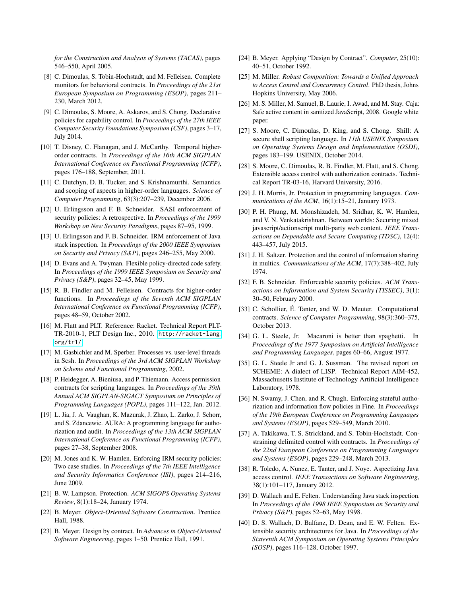*for the Construction and Analysis of Systems (TACAS)*, pages 546–550, April 2005.

- <span id="page-15-12"></span>[8] C. Dimoulas, S. Tobin-Hochstadt, and M. Felleisen. Complete monitors for behavioral contracts. In *Proceedings of the 21st European Symposium on Programming (ESOP)*, pages 211– 230, March 2012.
- <span id="page-15-26"></span>[9] C. Dimoulas, S. Moore, A. Askarov, and S. Chong. Declarative policies for capability control. In *Proceedings of the 27th IEEE Computer Security Foundations Symposium (CSF)*, pages 3–17, July 2014.
- <span id="page-15-28"></span>[10] T. Disney, C. Flanagan, and J. McCarthy. Temporal higherorder contracts. In *Proceedings of the 16th ACM SIGPLAN International Conference on Functional Programming (ICFP)*, pages 176–188, September, 2011.
- <span id="page-15-30"></span>[11] C. Dutchyn, D. B. Tucker, and S. Krishnamurthi. Semantics and scoping of aspects in higher-order languages. *Science of Computer Programming*, 63(3):207–239, December 2006.
- <span id="page-15-19"></span>[12] U. Erlingsson and F. B. Schneider. SASI enforcement of security policies: A retrospective. In *Proceedings of the 1999 Workshop on New Security Paradigms*, pages 87–95, 1999.
- <span id="page-15-20"></span>[13] U. Erlingsson and F. B. Schneider. IRM enforcement of Java stack inspection. In *Proceedings of the 2000 IEEE Symposium on Security and Privacy (S&P)*, pages 246–255, May 2000.
- <span id="page-15-21"></span>[14] D. Evans and A. Twyman. Flexible policy-directed code safety. In *Proceedings of the 1999 IEEE Symposium on Security and Privacy (S&P)*, pages 32–45, May 1999.
- <span id="page-15-4"></span>[15] R. B. Findler and M. Felleisen. Contracts for higher-order functions. In *Proceedings of the Seventh ACM SIGPLAN International Conference on Functional Programming (ICFP)*, pages 48–59, October 2002.
- <span id="page-15-3"></span>[16] M. Flatt and PLT. Reference: Racket. Technical Report PLT-TR-2010-1, PLT Design Inc., 2010. [http://racket-lang.](http://racket-lang.org/tr1/) [org/tr1/](http://racket-lang.org/tr1/).
- <span id="page-15-7"></span>[17] M. Gasbichler and M. Sperber. Processes vs. user-level threads in Scsh. In *Proceedings of the 3rd ACM SIGPLAN Workshop on Scheme and Functional Programming*, 2002.
- <span id="page-15-27"></span>[18] P. Heidegger, A. Bieniusa, and P. Thiemann. Access permission contracts for scripting languages. In *Proceedings of the 39th Annual ACM SIGPLAN-SIGACT Symposium on Principles of Programming Languages (POPL)*, pages 111–122, Jan. 2012.
- <span id="page-15-23"></span>[19] L. Jia, J. A. Vaughan, K. Mazurak, J. Zhao, L. Zarko, J. Schorr, and S. Zdancewic. AURA: A programming language for authorization and audit. In *Proceedings of the 13th ACM SIGPLAN International Conference on Functional Programming (ICFP)*, pages 27–38, September 2008.
- <span id="page-15-22"></span>[20] M. Jones and K. W. Hamlen. Enforcing IRM security policies: Two case studies. In *Proceedings of the 7th IEEE Intelligence and Security Informatics Conference (ISI)*, pages 214–216, June 2009.
- <span id="page-15-14"></span>[21] B. W. Lampson. Protection. *ACM SIGOPS Operating Systems Review*, 8(1):18–24, January 1974.
- <span id="page-15-5"></span>[22] B. Meyer. *Object-Oriented Software Construction*. Prentice Hall, 1988.
- [23] B. Meyer. Design by contract. In *Advances in Object-Oriented Software Engineering*, pages 1–50. Prentice Hall, 1991.
- <span id="page-15-6"></span>[24] B. Meyer. Applying "Design by Contract". *Computer*, 25(10): 40–51, October 1992.
- <span id="page-15-1"></span>[25] M. Miller. *Robust Composition: Towards a Unified Approach to Access Control and Concurrency Control*. PhD thesis, Johns Hopkins University, May 2006.
- <span id="page-15-2"></span>[26] M. S. Miller, M. Samuel, B. Laurie, I. Awad, and M. Stay. Caja: Safe active content in sanitized JavaScript, 2008. Google white paper.
- <span id="page-15-25"></span>[27] S. Moore, C. Dimoulas, D. King, and S. Chong. Shill: A secure shell scripting language. In *11th USENIX Symposium on Operating Systems Design and Implementation (OSDI)*, pages 183–199. USENIX, October 2014.
- <span id="page-15-13"></span>[28] S. Moore, C. Dimoulas, R. B. Findler, M. Flatt, and S. Chong. Extensible access control with authorization contracts. Technical Report TR-03-16, Harvard University, 2016.
- <span id="page-15-15"></span>[29] J. H. Morris, Jr. Protection in programming languages. *Communications of the ACM*, 16(1):15–21, January 1973.
- <span id="page-15-17"></span>[30] P. H. Phung, M. Monshizadeh, M. Sridhar, K. W. Hamlen, and V. N. Venkatakrishnan. Between worlds: Securing mixed javascript/actionscript multi-party web content. *IEEE Transactions on Dependable and Secure Computing (TDSC)*, 12(4): 443–457, July 2015.
- <span id="page-15-10"></span>[31] J. H. Saltzer. Protection and the control of information sharing in multics. *Communications of the ACM*, 17(7):388–402, July 1974.
- <span id="page-15-18"></span>[32] F. B. Schneider. Enforceable security policies. *ACM Transactions on Information and System Security (TISSEC)*, 3(1): 30–50, February 2000.
- <span id="page-15-29"></span>[33] C. Schollier, É. Tanter, and W. D. Meuter. Computational contracts. *Science of Computer Programming*, 98(3):360–375, October 2013.
- <span id="page-15-8"></span>[34] G. L. Steele, Jr. Macaroni is better than spaghetti. In *Proceedings of the 1977 Symposium on Artificial Intelligence and Programming Languages*, pages 60–66, August 1977.
- <span id="page-15-9"></span>[35] G. L. Steele Jr and G. J. Sussman. The revised report on SCHEME: A dialect of LISP. Technical Report AIM-452, Massachusetts Institute of Technology Artificial Intelligence Laboratory, 1978.
- <span id="page-15-24"></span>[36] N. Swamy, J. Chen, and R. Chugh. Enforcing stateful authorization and information flow policies in Fine. In *Proceedings of the 19th European Conference on Programming Languages and Systems (ESOP)*, pages 529–549, March 2010.
- <span id="page-15-11"></span>[37] A. Takikawa, T. S. Strickland, and S. Tobin-Hochstadt. Constraining delimited control with contracts. In *Proceedings of the 22nd European Conference on Programming Languages and Systems (ESOP)*, pages 229–248, March 2013.
- <span id="page-15-31"></span>[38] R. Toledo, A. Nunez, E. Tanter, and J. Noye. Aspectizing Java access control. *IEEE Transactions on Software Engineering*, 38(1):101–117, January 2012.
- <span id="page-15-16"></span>[39] D. Wallach and E. Felten. Understanding Java stack inspection. In *Proceedings of the 1998 IEEE Symposium on Security and Privacy (S&P)*, pages 52–63, May 1998.
- <span id="page-15-0"></span>[40] D. S. Wallach, D. Balfanz, D. Dean, and E. W. Felten. Extensible security architectures for Java. In *Proceedings of the Sixteenth ACM Symposium on Operating Systems Principles (SOSP)*, pages 116–128, October 1997.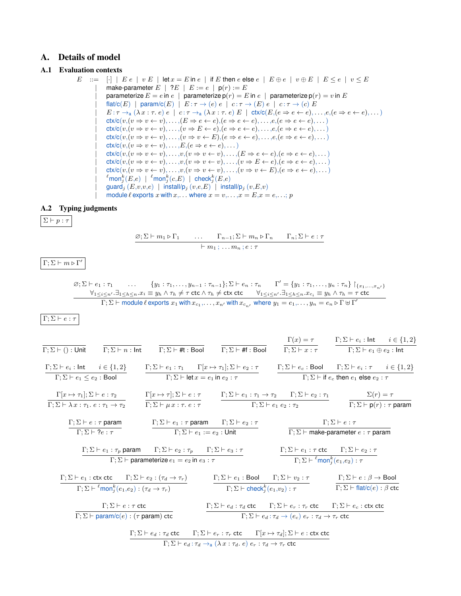# <span id="page-16-0"></span>A. Details of model

# A.1 Evaluation contexts

```
E ::= [\cdot] | E e | v E | let x = E in e | if E then e else e | E \oplus e | v \oplus E | E \le e | v \le Emake-parameter E | ?E | E := e | p(r) := Eparameterize E = e in e \mid parameterize p(r) = E in e \mid parameterize p(r) = v in Eflat/c(E) | param/c(E) | E : \tau \to (e) e | c : \tau \to (E) e | c : \tau \to (c) EE: \tau \to_{\text{a}} (\lambda x : \tau, e) e \mid c: \tau \to_{\text{a}} (\lambda x : \tau, e) E \mid \text{ctx/c}(E, (e \Rightarrow e \leftarrow e), \dots, e, (e \Rightarrow e \leftarrow e), \dots)\text{ctx/c}(v,(v \Rightarrow v \leftarrow v), \ldots, (E \Rightarrow e \leftarrow e), (e \Rightarrow e \leftarrow e), \ldots, e, (e \Rightarrow e \leftarrow e), \ldots)\text{ctx/c}(v, (v \Rightarrow v \leftarrow v), \dots, (v \Rightarrow E \leftarrow e), (e \Rightarrow e \leftarrow e), \dots, e, (e \Rightarrow e \leftarrow e), \dots)\text{ctx/c}(v,(v \Rightarrow v \leftarrow v), \ldots, (v \Rightarrow v \leftarrow E), (e \Rightarrow e \leftarrow e), \ldots, e, (e \Rightarrow e \leftarrow e), \ldots)\text{ctx/c}(v, (v \Rightarrow v \leftarrow v), \dots, E, (e \Rightarrow e \leftarrow e), \dots)\text{ctx/c}(v, (v \Rightarrow v \leftarrow v), \dots, v, (v \Rightarrow v \leftarrow v), \dots, (E \Rightarrow e \leftarrow e), (e \Rightarrow e \leftarrow e), \dots)\text{ctx/c}(v, (v \Rightarrow v \leftarrow v), \ldots, v, (v \Rightarrow v \leftarrow v), \ldots, (v \Rightarrow E \leftarrow e), (e \Rightarrow e \leftarrow e), \ldots)\text{ctx/c}(v,(v \Rightarrow v \leftarrow v), \ldots, v, (v \Rightarrow v \leftarrow v), \ldots, (v \Rightarrow v \leftarrow E), (e \Rightarrow e \leftarrow e), \ldots)|
                  \ellmon_j^k(E,e) \mid \ellmon_j^k(c,E) \mid check_j^k(E,e)\mathsf{guard}_i(E,v,v,e) | install/p<sub>i</sub> (v,e,E) | install/p<sub>i</sub> (v,E,v)module \ell exports x with x, \ldots where x = v, \ldots, x = E, x = e, \ldots; p
```
#### A.2 Typing judgments

 $\Sigma \vdash p : \tau$ 

 $\varnothing; \Sigma \vdash m_1 \triangleright \Gamma_1 \qquad \dots \qquad \Gamma_{n-1}; \Sigma \vdash m_n \triangleright \Gamma_n \qquad \Gamma_n; \Sigma \vdash e : \tau$  $\vdash m_1 ; \ldots m_n ; e : \tau$ 

 $\Gamma; \Sigma \vdash m \triangleright \Gamma'$ 

 $\emptyset; \Sigma \vdash e_1 : \tau_1 \quad \ldots \quad \{y_1 : \tau_1, \ldots, y_{n-1} : \tau_{n-1}\}; \Sigma \vdash e_n : \tau_n \quad \Gamma' = \{y_1 : \tau_1, \ldots, y_n : \tau_n\} \upharpoonright_{\{x_1, \ldots, x_{n'}\}}$  $\forall_{1\leq i\leq n'}.\exists_{1\leq h\leq n}.x_i\equiv y_h\wedge\tau_h\neq \tau$  ctc  $\wedge\tau_h\neq$  ctx ctc  $\qquad\forall_{1\leq i\leq n'}.\exists_{1\leq h\leq n}.x_{c_i}\equiv y_h\wedge\tau_h=\tau$  ctc  $\Gamma; \Sigma \vdash \textsf{module } \ell \textsf{ exports } x_1 \textsf{ with } x_{c_1}, \ldots, x_{n'} \textsf{ with } x_{c_{n'}} \textsf{ where } y_1 = e_1, \ldots, y_n = e_n \triangleright \Gamma \uplus \Gamma'$ 

Γ;  $\Sigma \vdash e : τ$ 

|                                                                                |                                                                                                                    |                                                                                                |                                                                                                               |                                                                                                                                                                                                                                               | $\Gamma(x) = \tau$ $\Gamma; \Sigma \vdash e_i : \mathsf{Int} \quad i \in \{1, 2\}$     |                                                |
|--------------------------------------------------------------------------------|--------------------------------------------------------------------------------------------------------------------|------------------------------------------------------------------------------------------------|---------------------------------------------------------------------------------------------------------------|-----------------------------------------------------------------------------------------------------------------------------------------------------------------------------------------------------------------------------------------------|----------------------------------------------------------------------------------------|------------------------------------------------|
| $\Gamma; \Sigma \vdash () :$ Unit                                              |                                                                                                                    | $\Gamma; \Sigma \vdash n : \mathsf{Int}$ $\Gamma; \Sigma \vdash \# \mathsf{t} : \mathsf{Bool}$ | $\Gamma;\Sigma \vdash \text{\tt\#f} : \mathsf{Bool}$                                                          |                                                                                                                                                                                                                                               | $\Gamma; \Sigma \vdash x : \tau$ $\Gamma; \Sigma \vdash e_1 \oplus e_2 : \mathsf{Int}$ |                                                |
|                                                                                |                                                                                                                    |                                                                                                |                                                                                                               | $\Gamma;\Sigma\vdash e_i:\mathsf{Int}$ $i\in\{1,2\}$ $\Gamma;\Sigma\vdash e_1:\tau_1$ $\Gamma[x\mapsto \tau_1];\Sigma\vdash e_2:\tau$ $\Gamma;\Sigma\vdash e_c:\mathsf{Bool}$ $\Gamma;\Sigma\vdash e_i:\tau$ $i\in\{1,2\}$                    |                                                                                        |                                                |
| $\Gamma; \Sigma \vdash e_1 \leq e_2 : \mathsf{Bool}$                           |                                                                                                                    | $\Gamma: \Sigma \vdash \text{let } x = e_1 \text{ in } e_2 : \tau$                             |                                                                                                               |                                                                                                                                                                                                                                               | $\Gamma: \Sigma \vdash$ if $e_c$ then $e_1$ else $e_2 : \tau$                          |                                                |
|                                                                                |                                                                                                                    |                                                                                                |                                                                                                               | $\Gamma[x \mapsto \tau_1]; \Sigma \vdash e : \tau_2$ $\Gamma[x \mapsto \tau]; \Sigma \vdash e : \tau$ $\Gamma; \Sigma \vdash e_1 : \tau_1 \to \tau_2$ $\Gamma; \Sigma \vdash e_2 : \tau_1$                                                    |                                                                                        | $\Sigma(r)=\tau$                               |
| $\Gamma; \Sigma \vdash \lambda x : \tau_1. e : \tau_1 \rightarrow \tau_2$      |                                                                                                                    | $\Gamma; \Sigma \vdash \mu x : \tau. e : \tau$                                                 |                                                                                                               | $\Gamma; \Sigma \vdash e_1 \; e_2 : \tau_2$                                                                                                                                                                                                   |                                                                                        | $\Gamma$ : $\Sigma \vdash p(r)$ : $\tau$ param |
|                                                                                | $\Gamma$ ; $\Sigma \vdash e : \tau$ param                                                                          |                                                                                                | $\Gamma$ ; $\Sigma \vdash e_1 : \tau$ param $\Gamma$ ; $\Sigma \vdash e_2 : \tau$                             |                                                                                                                                                                                                                                               | $\Gamma: \Sigma \vdash e : \tau$                                                       |                                                |
| $\Gamma: \Sigma \vdash ?e : \tau$<br>$\Gamma: \Sigma \vdash e_1 := e_2 :$ Unit |                                                                                                                    |                                                                                                |                                                                                                               |                                                                                                                                                                                                                                               | $\Gamma$ : $\Sigma$ $\vdash$ make-parameter $e : \tau$ param                           |                                                |
|                                                                                | $\Gamma; \Sigma \vdash e_1 : \tau_p$ param $\Gamma; \Sigma \vdash e_2 : \tau_p$ $\Gamma; \Sigma \vdash e_3 : \tau$ |                                                                                                |                                                                                                               |                                                                                                                                                                                                                                               | $\Gamma; \Sigma \vdash e_1 : \tau \text{ etc} \qquad \Gamma; \Sigma \vdash e_2 : \tau$ |                                                |
|                                                                                |                                                                                                                    | $\Gamma$ ; $\Sigma \vdash$ parameterize $e_1 = e_2$ in $e_3 : \tau$                            |                                                                                                               |                                                                                                                                                                                                                                               | $\Gamma$ ; $\Sigma \vdash \ell$ mon $_i^k(e_1, e_2)$ : $\tau$                          |                                                |
|                                                                                |                                                                                                                    |                                                                                                |                                                                                                               | $\Gamma; \Sigma \vdash e_1 : \text{ctx etc}$ $\Gamma; \Sigma \vdash e_2 : (\tau_d \rightarrow \tau_r)$ $\Gamma; \Sigma \vdash e_1 : \text{Bool}$ $\Gamma; \Sigma \vdash v_2 : \tau$ $\Gamma; \Sigma \vdash e : \beta \rightarrow \text{Bool}$ |                                                                                        |                                                |
|                                                                                | $\Gamma; \Sigma \vdash^{\ell} \text{mon}_i^k(e_1, e_2) : (\tau_d \rightarrow \tau_r)$                              |                                                                                                | $\Gamma; \Sigma \vdash \mathsf{check}_i^k(e_1, v_2) : \tau$                                                   |                                                                                                                                                                                                                                               | $\Gamma$ ; $\Sigma$ $\vdash$ flat/c(e) : $\beta$ ctc                                   |                                                |
| $\Gamma: \Sigma \vdash e : \tau$ ctc                                           |                                                                                                                    |                                                                                                | $\Gamma;\Sigma\vdash e_d:\tau_d$ etc $\Gamma;\Sigma\vdash e_r:\tau_r$ etc $\Gamma;\Sigma\vdash e_c$ : etx etc |                                                                                                                                                                                                                                               |                                                                                        |                                                |
| $\Gamma$ : $\Sigma$ $\vdash$ param/c(e) : ( $\tau$ param) ctc                  |                                                                                                                    |                                                                                                |                                                                                                               | $\Gamma;\Sigma\vdash e_d:\tau_d\rightarrow(e_c)\ e_r:\tau_d\rightarrow\tau_r$ ctc                                                                                                                                                             |                                                                                        |                                                |
|                                                                                |                                                                                                                    |                                                                                                |                                                                                                               | $\Gamma;\Sigma\vdash e_d:\tau_d$ ctc $\Gamma;\Sigma\vdash e_r:\tau_r$ ctc $\Gamma[x\mapsto \tau_d];\Sigma\vdash e:\mathsf{ctx}$ ctc                                                                                                           |                                                                                        |                                                |
|                                                                                |                                                                                                                    |                                                                                                | $\Gamma;\Sigma\vdash e_d:\tau_d\rightarrow_{\text{a}}(\lambda x:\tau_d,e)\ e_r:\tau_d\rightarrow\tau_r$ ctc   |                                                                                                                                                                                                                                               |                                                                                        |                                                |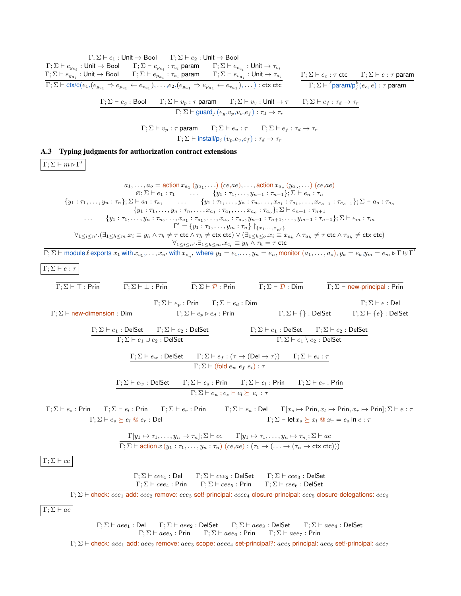$$
F_1\Sigma F = \rho_{n+1} + \text{Unit} + \text{Bool} = 17.25 \text{ kg} = 1001 \text{ m} = 17.25 \text{ kg} = 1001 \text{ m} = 17.25 \text{ m} = 17.25 \text{ m} = 17.25 \text{ m} = 17.25 \text{ m} = 17.25 \text{ m} = 17.25 \text{ m} = 17.25 \text{ m} = 17.25 \text{ m} = 17.25 \text{ m} = 17.25 \text{ m} = 17.25 \text{ m} = 17.25 \text{ m} = 17.25 \text{ m} = 17.25 \text{ m} = 17.25 \text{ m} = 17.25 \text{ m} = 17.25 \text{ m} = 17.25 \text{ m} = 17.25 \text{ m} = 17.25 \text{ m} = 17.25 \text{ m} = 17.25 \text{ m} = 17.25 \text{ m} = 17.25 \text{ m} = 17.25 \text{ m} = 17.25 \text{ m} = 17.25 \text{ m} = 17.25 \text{ m} = 17.25 \text{ m} = 17.25 \text{ m} = 17.25 \text{ m} = 17.25 \text{ m} = 17.25 \text{ m} = 17.25 \text{ m} = 17.25 \text{ m} = 17.25 \text{ m} = 17.25 \text{ m} = 17.25 \text{ m} = 17.25 \text{ m} = 17.25 \text{ m} = 17.25 \text{ m} = 17.25 \text{ m} = 17.25 \text{ m} = 17.25 \text{ m} = 17.25 \text{ m} = 17.25 \text{ m} = 17.25 \text{ m} = 17.25 \text{ m} = 17.25 \text{ m} = 17.25 \text{ m} = 17.25 \text{ m} = 17.25 \text{ m} = 17.25 \text{ m} = 17.25 \text{ m} = 17.25 \text{ m} = 17.25 \text{ m} = 17.25 \text{ m} =
$$

 $Γ; Σ ⊢ check: aee<sub>1</sub> add: aee<sub>2</sub> remove: aee<sub>3</sub> scope: aee<sub>4</sub> set-principal? : aee<sub>5</sub> principal: aee<sub>6</sub> set!-principal: aee<sub>7</sub>$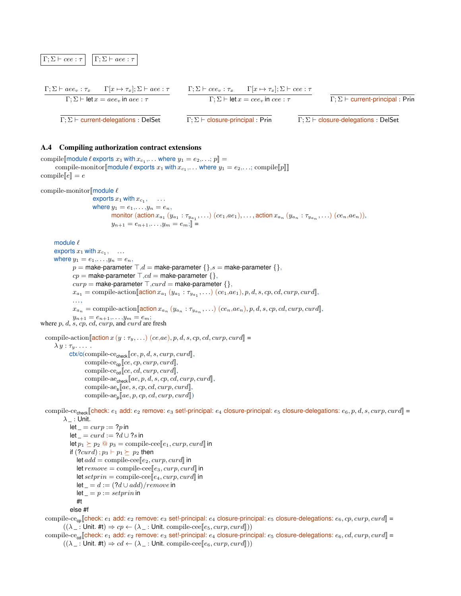

#### A.4 Compiling authorization contract extensions

```
compile \llbracket \text{module } \ell \text{ exports } x_1 \text{ with } x_{c_1}, \ldots \text{ where } y_1 = e_2, \ldots, p \rrbracket =compile-monitor[[module \ell exports x_1 with x_{c_1}, \ldots where y_1 = e_2, \ldots; compile[[p]]]
compile\llbracket e \rrbracket = ecompile-monitor \mathsf{module}\ \ellexports x_1 with x_{c_1}, \ldotswhere y_1 = e_1, \ldots, y_n = e_n,
                                   monitor (\arctan x_{a_1}(y_{a_1}:\tau_{y_{a_1}},\ldots)(ce_1,ae_1),\ldots,\arctan x_{a_n}(y_{a_n}:\tau_{y_{a_n}},\ldots)(ce_n,ae_n)),y_{n+1} = e_{n+1}, \ldots, y_m = e_m; \mathbb{R} =
      module \ellexports x_1 with x_{c_1}, \ldotswhere y_1 = e_1, ..., y_n = e_n,
                p = make-parameter \top, d = make-parameter \{\}, s = make-parameter \{\},cp = make-parameter \top, cd = make-parameter \{\},\cusp = make-parameter \top, \text{curl} = make-parameter \{\},\x_{a_1} = \text{compile-action}[\text{action } x_{a_1} (y_{a_1} : \tau_{y_{a_1}}, \ldots) (ce_1, ae_1), p, d, s, cp, cd, curp, curl],. . . ,
                x_{a_n} = \text{compile-action}[\text{action } x_{a_n} (y_{a_n} : \tau_{y_{a_n}}, \ldots) (ce_n, ae_n), p, d, s, cp, cd, curp, curd],y_{n+1} = e_{n+1}, \ldots, y_m = e_m;where p, d, s, cp, cd, curp, and curd are fresh
  compile-action \left[\arctan x (y : \tau_y, \ldots) (ce, ae), p, d, s, cp, cd, curp, curd\right] =\lambda y : \tau_y \ldots.
              \textsf{ctx}/\textsf{c}(\textsf{compile-ce}_\textsf{check}[\![ce,p,d,s,curr,p,curl]\!],compile-ce<sub>cp</sub>[ce, cp, curr, curl],compile-ce<sub>cd</sub>\llbracket ce, cd, curp, curd\rrbracket,compile-ae<sub>check</sub>\llbracket ae, p, d, s, cp, cd, curp, curd\rrbracket,\text{compile-ae}_{\mathbf{s}}[\![ae, s, cp, cd, curp, curd]\!]\text{compile-ae}_{p}[\![ae, p, cp, cd, curp,curd]\!]compile-ce<sub>check</sub> [check: e_1 add: e_2 remove: e_3 set!-principal: e_4 closure-principal: e_5 closure-delegations: e_6, p, d, s, curp, curd] =
           \lambda _ : Unit.
              let \_ = \textit{curr} := ?p in
              let \_ = \operatorname{curl} := ?d \cup ?s in
              let p_1 \succeq p_2 \tQ p_3 = \text{compile-cee} [e_1, curp, curd] in
              if (2curd); p_3 \vdash p_1 \succeq p_2 then
                 let add = \text{compile-cee} [e_2, curp, curd] in
                  let remove = compile-ceE_3, curp, curd in
                  let setprin = compile-cee [e_4, curp,curl] in
                 let = d := (?d \cup add)/remove in
                 \ensuremath{\mathsf{let}}\xspace_-=p:=\mathop{\mathit setprin}\xspace in
                 #t
              else #f
  compile-ce<sub>cp</sub>[check: e_1 \text{ add}: e_2 \text{ remove}: e_3 \text{ set}].principal: e_4 closure-principal: e_5 closure-delegations: e_6, cp, curp, curl \equiv
```
 $((\lambda_{-}:$  Unit. #t)  $\Rightarrow cp \leftarrow (\lambda_{-}:$  Unit. compile-cee  $[e_5, curp,curd])$ 

compile-ce<sub>cd</sub> check:  $e_1$  add:  $e_2$  remove:  $e_3$  set!-principal:  $e_4$  closure-principal:  $e_5$  closure-delegations:  $e_6$ ,  $cd$ ,  $curp$ ,  $curl$  =  $((\lambda_{-}:$  Unit. #t $) \Rightarrow cd \leftarrow (\lambda_{-}:$  Unit. compile-cee  $[e_6, curp,curl]]$ )